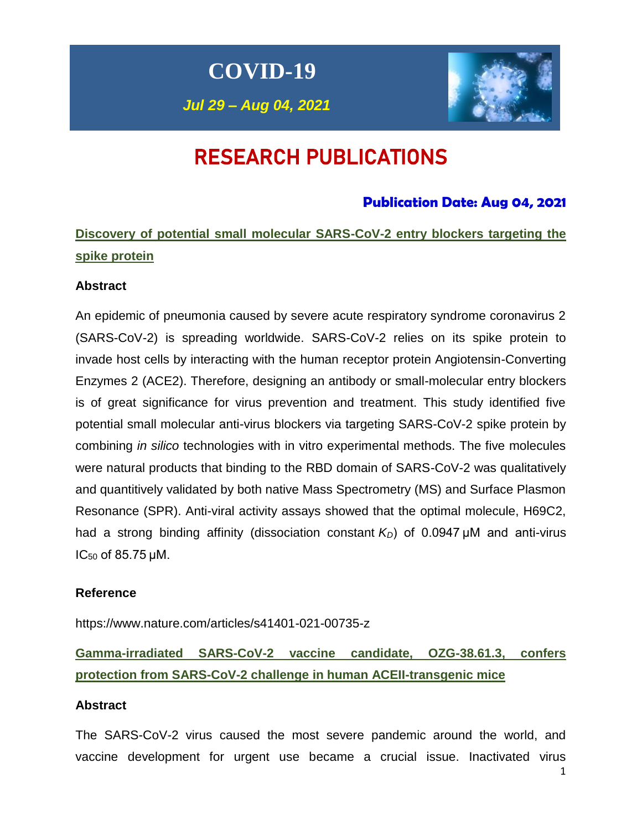# **COVID-19**

*Jul 29 – Aug 04, 2021*



# RESEARCH PUBLICATIONS

### **Publication Date: Aug 04, 2021**

# **Discovery of potential small molecular SARS-CoV-2 entry blockers targeting the spike protein**

### **Abstract**

An epidemic of pneumonia caused by severe acute respiratory syndrome coronavirus 2 (SARS-CoV-2) is spreading worldwide. SARS-CoV-2 relies on its spike protein to invade host cells by interacting with the human receptor protein Angiotensin-Converting Enzymes 2 (ACE2). Therefore, designing an antibody or small-molecular entry blockers is of great significance for virus prevention and treatment. This study identified five potential small molecular anti-virus blockers via targeting SARS-CoV-2 spike protein by combining *in silico* technologies with in vitro experimental methods. The five molecules were natural products that binding to the RBD domain of SARS-CoV-2 was qualitatively and quantitively validated by both native Mass Spectrometry (MS) and Surface Plasmon Resonance (SPR). Anti-viral activity assays showed that the optimal molecule, H69C2, had a strong binding affinity (dissociation constant *KD*) of 0.0947 µM and anti-virus  $IC_{50}$  of 85.75  $µM$ .

#### **Reference**

https://www.nature.com/articles/s41401-021-00735-z

# **Gamma-irradiated SARS-CoV-2 vaccine candidate, OZG-38.61.3, confers protection from SARS-CoV-2 challenge in human ACEII-transgenic mice**

### **Abstract**

The SARS-CoV-2 virus caused the most severe pandemic around the world, and vaccine development for urgent use became a crucial issue. Inactivated virus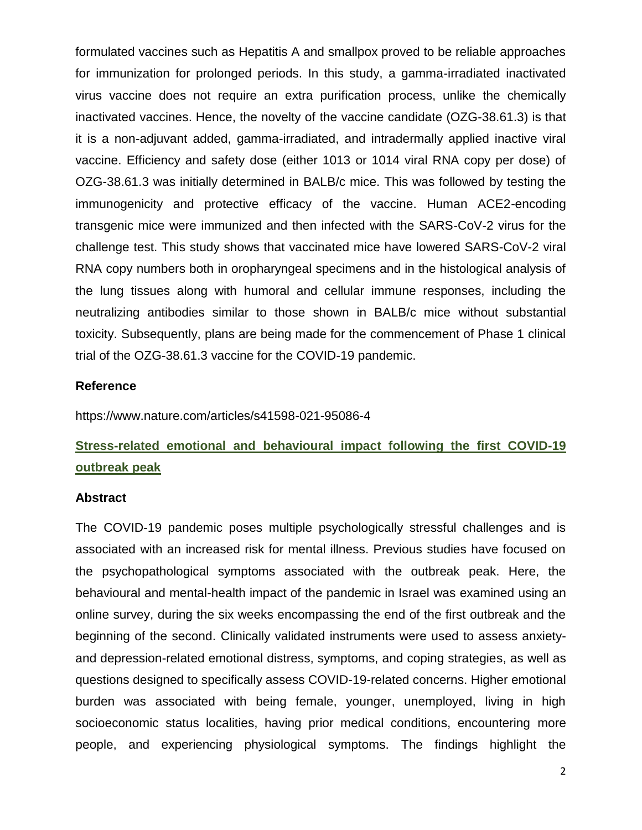formulated vaccines such as Hepatitis A and smallpox proved to be reliable approaches for immunization for prolonged periods. In this study, a gamma-irradiated inactivated virus vaccine does not require an extra purification process, unlike the chemically inactivated vaccines. Hence, the novelty of the vaccine candidate (OZG-38.61.3) is that it is a non-adjuvant added, gamma-irradiated, and intradermally applied inactive viral vaccine. Efficiency and safety dose (either 1013 or 1014 viral RNA copy per dose) of OZG-38.61.3 was initially determined in BALB/c mice. This was followed by testing the immunogenicity and protective efficacy of the vaccine. Human ACE2-encoding transgenic mice were immunized and then infected with the SARS-CoV-2 virus for the challenge test. This study shows that vaccinated mice have lowered SARS-CoV-2 viral RNA copy numbers both in oropharyngeal specimens and in the histological analysis of the lung tissues along with humoral and cellular immune responses, including the neutralizing antibodies similar to those shown in BALB/c mice without substantial toxicity. Subsequently, plans are being made for the commencement of Phase 1 clinical trial of the OZG-38.61.3 vaccine for the COVID-19 pandemic.

#### **Reference**

https://www.nature.com/articles/s41598-021-95086-4

# **Stress-related emotional and behavioural impact following the first COVID-19 outbreak peak**

#### **Abstract**

The COVID-19 pandemic poses multiple psychologically stressful challenges and is associated with an increased risk for mental illness. Previous studies have focused on the psychopathological symptoms associated with the outbreak peak. Here, the behavioural and mental-health impact of the pandemic in Israel was examined using an online survey, during the six weeks encompassing the end of the first outbreak and the beginning of the second. Clinically validated instruments were used to assess anxietyand depression-related emotional distress, symptoms, and coping strategies, as well as questions designed to specifically assess COVID-19-related concerns. Higher emotional burden was associated with being female, younger, unemployed, living in high socioeconomic status localities, having prior medical conditions, encountering more people, and experiencing physiological symptoms. The findings highlight the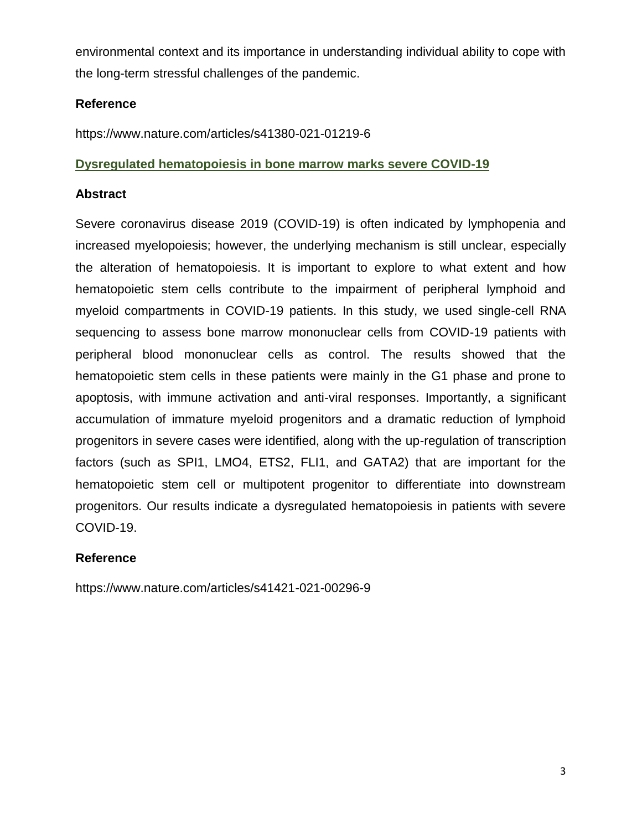environmental context and its importance in understanding individual ability to cope with the long-term stressful challenges of the pandemic.

### **Reference**

https://www.nature.com/articles/s41380-021-01219-6

### **Dysregulated hematopoiesis in bone marrow marks severe COVID-19**

#### **Abstract**

Severe coronavirus disease 2019 (COVID-19) is often indicated by lymphopenia and increased myelopoiesis; however, the underlying mechanism is still unclear, especially the alteration of hematopoiesis. It is important to explore to what extent and how hematopoietic stem cells contribute to the impairment of peripheral lymphoid and myeloid compartments in COVID-19 patients. In this study, we used single-cell RNA sequencing to assess bone marrow mononuclear cells from COVID-19 patients with peripheral blood mononuclear cells as control. The results showed that the hematopoietic stem cells in these patients were mainly in the G1 phase and prone to apoptosis, with immune activation and anti-viral responses. Importantly, a significant accumulation of immature myeloid progenitors and a dramatic reduction of lymphoid progenitors in severe cases were identified, along with the up-regulation of transcription factors (such as SPI1, LMO4, ETS2, FLI1, and GATA2) that are important for the hematopoietic stem cell or multipotent progenitor to differentiate into downstream progenitors. Our results indicate a dysregulated hematopoiesis in patients with severe COVID-19.

### **Reference**

https://www.nature.com/articles/s41421-021-00296-9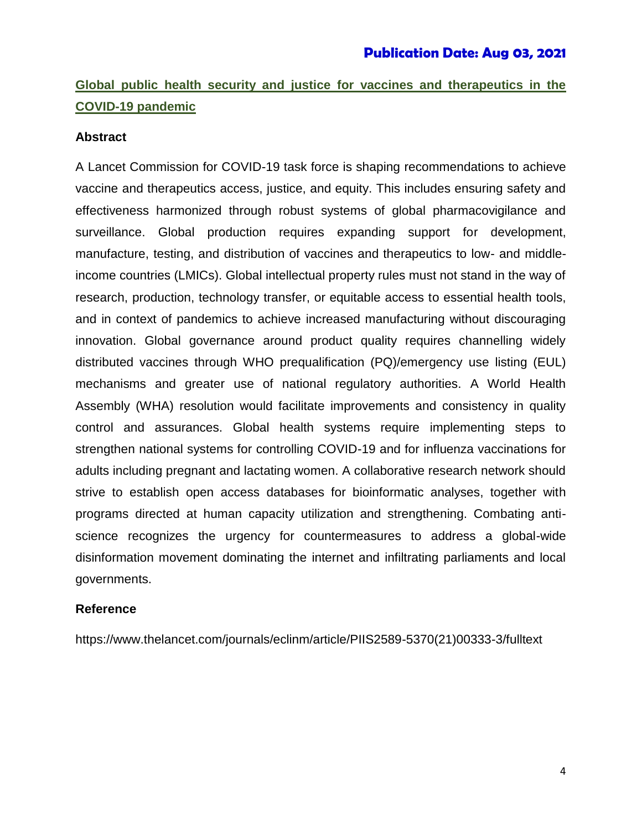# **Global public health security and justice for vaccines and therapeutics in the COVID-19 pandemic**

#### **Abstract**

A Lancet Commission for COVID-19 task force is shaping recommendations to achieve vaccine and therapeutics access, justice, and equity. This includes ensuring safety and effectiveness harmonized through robust systems of global pharmacovigilance and surveillance. Global production requires expanding support for development, manufacture, testing, and distribution of vaccines and therapeutics to low- and middleincome countries (LMICs). Global intellectual property rules must not stand in the way of research, production, technology transfer, or equitable access to essential health tools, and in context of pandemics to achieve increased manufacturing without discouraging innovation. Global governance around product quality requires channelling widely distributed vaccines through WHO prequalification (PQ)/emergency use listing (EUL) mechanisms and greater use of national regulatory authorities. A World Health Assembly (WHA) resolution would facilitate improvements and consistency in quality control and assurances. Global health systems require implementing steps to strengthen national systems for controlling COVID-19 and for influenza vaccinations for adults including pregnant and lactating women. A collaborative research network should strive to establish open access databases for bioinformatic analyses, together with programs directed at human capacity utilization and strengthening. Combating antiscience recognizes the urgency for countermeasures to address a global-wide disinformation movement dominating the internet and infiltrating parliaments and local governments.

#### **Reference**

https://www.thelancet.com/journals/eclinm/article/PIIS2589-5370(21)00333-3/fulltext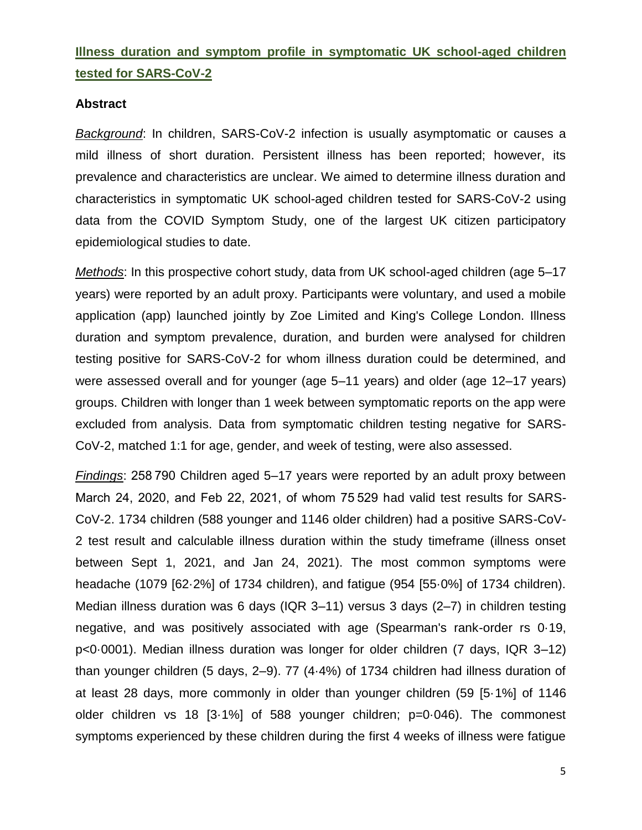## **Illness duration and symptom profile in symptomatic UK school-aged children tested for SARS-CoV-2**

#### **Abstract**

*Background*: In children, SARS-CoV-2 infection is usually asymptomatic or causes a mild illness of short duration. Persistent illness has been reported; however, its prevalence and characteristics are unclear. We aimed to determine illness duration and characteristics in symptomatic UK school-aged children tested for SARS-CoV-2 using data from the COVID Symptom Study, one of the largest UK citizen participatory epidemiological studies to date.

*Methods*: In this prospective cohort study, data from UK school-aged children (age 5–17 years) were reported by an adult proxy. Participants were voluntary, and used a mobile application (app) launched jointly by Zoe Limited and King's College London. Illness duration and symptom prevalence, duration, and burden were analysed for children testing positive for SARS-CoV-2 for whom illness duration could be determined, and were assessed overall and for younger (age 5–11 years) and older (age 12–17 years) groups. Children with longer than 1 week between symptomatic reports on the app were excluded from analysis. Data from symptomatic children testing negative for SARS-CoV-2, matched 1:1 for age, gender, and week of testing, were also assessed.

*Findings*: 258 790 Children aged 5–17 years were reported by an adult proxy between March 24, 2020, and Feb 22, 2021, of whom 75 529 had valid test results for SARS-CoV-2. 1734 children (588 younger and 1146 older children) had a positive SARS-CoV-2 test result and calculable illness duration within the study timeframe (illness onset between Sept 1, 2021, and Jan 24, 2021). The most common symptoms were headache (1079 [62·2%] of 1734 children), and fatigue (954 [55·0%] of 1734 children). Median illness duration was 6 days (IQR 3–11) versus 3 days (2–7) in children testing negative, and was positively associated with age (Spearman's rank-order rs 0·19, p<0·0001). Median illness duration was longer for older children (7 days, IQR 3–12) than younger children (5 days, 2–9). 77 (4·4%) of 1734 children had illness duration of at least 28 days, more commonly in older than younger children (59 [5·1%] of 1146 older children vs 18 [3·1%] of 588 younger children; p=0·046). The commonest symptoms experienced by these children during the first 4 weeks of illness were fatigue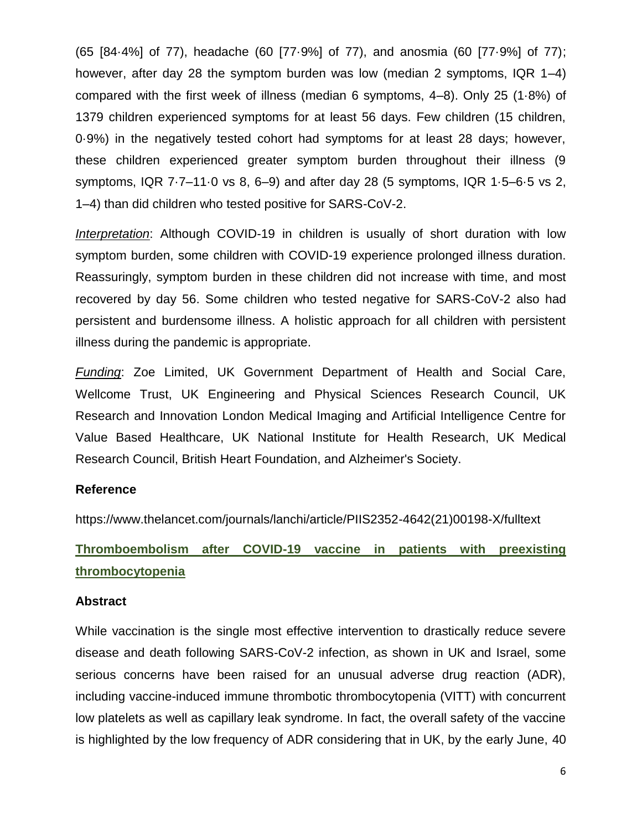(65 [84·4%] of 77), headache (60 [77·9%] of 77), and anosmia (60 [77·9%] of 77); however, after day 28 the symptom burden was low (median 2 symptoms, IQR 1–4) compared with the first week of illness (median 6 symptoms, 4–8). Only 25 (1·8%) of 1379 children experienced symptoms for at least 56 days. Few children (15 children, 0·9%) in the negatively tested cohort had symptoms for at least 28 days; however, these children experienced greater symptom burden throughout their illness (9 symptoms, IQR  $7.7-11.0$  vs  $8, 6-9$ ) and after day 28 (5 symptoms, IQR  $1.5-6.5$  vs  $2,$ 1–4) than did children who tested positive for SARS-CoV-2.

*Interpretation*: Although COVID-19 in children is usually of short duration with low symptom burden, some children with COVID-19 experience prolonged illness duration. Reassuringly, symptom burden in these children did not increase with time, and most recovered by day 56. Some children who tested negative for SARS-CoV-2 also had persistent and burdensome illness. A holistic approach for all children with persistent illness during the pandemic is appropriate.

*Funding*: Zoe Limited, UK Government Department of Health and Social Care, Wellcome Trust, UK Engineering and Physical Sciences Research Council, UK Research and Innovation London Medical Imaging and Artificial Intelligence Centre for Value Based Healthcare, UK National Institute for Health Research, UK Medical Research Council, British Heart Foundation, and Alzheimer's Society.

#### **Reference**

https://www.thelancet.com/journals/lanchi/article/PIIS2352-4642(21)00198-X/fulltext

# **Thromboembolism after COVID-19 vaccine in patients with preexisting thrombocytopenia**

#### **Abstract**

While vaccination is the single most effective intervention to drastically reduce severe disease and death following SARS-CoV-2 infection, as shown in UK and Israel, some serious concerns have been raised for an unusual adverse drug reaction (ADR), including vaccine-induced immune thrombotic thrombocytopenia (VITT) with concurrent low platelets as well as capillary leak syndrome. In fact, the overall safety of the vaccine is highlighted by the low frequency of ADR considering that in UK, by the early June, 40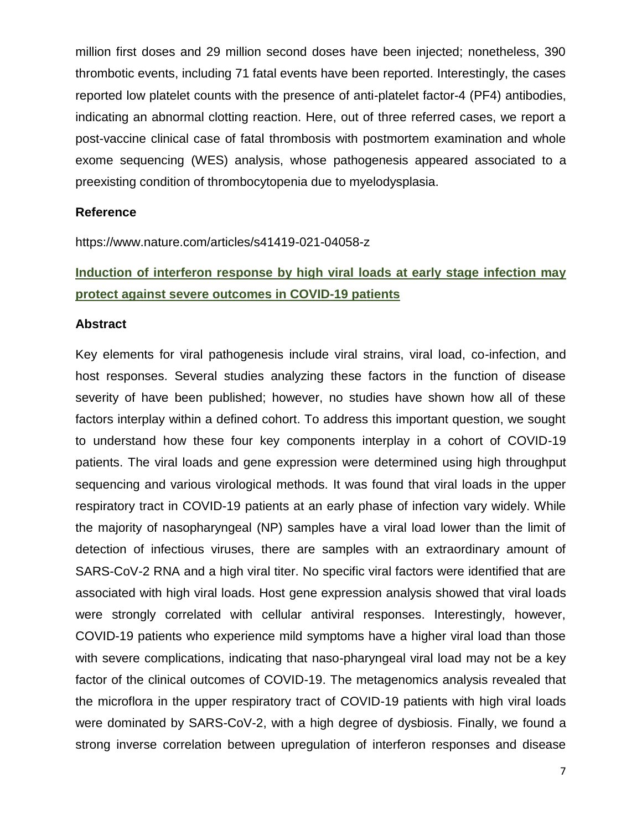million first doses and 29 million second doses have been injected; nonetheless, 390 thrombotic events, including 71 fatal events have been reported. Interestingly, the cases reported low platelet counts with the presence of anti-platelet factor-4 (PF4) antibodies, indicating an abnormal clotting reaction. Here, out of three referred cases, we report a post-vaccine clinical case of fatal thrombosis with postmortem examination and whole exome sequencing (WES) analysis, whose pathogenesis appeared associated to a preexisting condition of thrombocytopenia due to myelodysplasia.

#### **Reference**

https://www.nature.com/articles/s41419-021-04058-z

# **Induction of interferon response by high viral loads at early stage infection may protect against severe outcomes in COVID-19 patients**

#### **Abstract**

Key elements for viral pathogenesis include viral strains, viral load, co-infection, and host responses. Several studies analyzing these factors in the function of disease severity of have been published; however, no studies have shown how all of these factors interplay within a defined cohort. To address this important question, we sought to understand how these four key components interplay in a cohort of COVID-19 patients. The viral loads and gene expression were determined using high throughput sequencing and various virological methods. It was found that viral loads in the upper respiratory tract in COVID-19 patients at an early phase of infection vary widely. While the majority of nasopharyngeal (NP) samples have a viral load lower than the limit of detection of infectious viruses, there are samples with an extraordinary amount of SARS-CoV-2 RNA and a high viral titer. No specific viral factors were identified that are associated with high viral loads. Host gene expression analysis showed that viral loads were strongly correlated with cellular antiviral responses. Interestingly, however, COVID-19 patients who experience mild symptoms have a higher viral load than those with severe complications, indicating that naso-pharyngeal viral load may not be a key factor of the clinical outcomes of COVID-19. The metagenomics analysis revealed that the microflora in the upper respiratory tract of COVID-19 patients with high viral loads were dominated by SARS-CoV-2, with a high degree of dysbiosis. Finally, we found a strong inverse correlation between upregulation of interferon responses and disease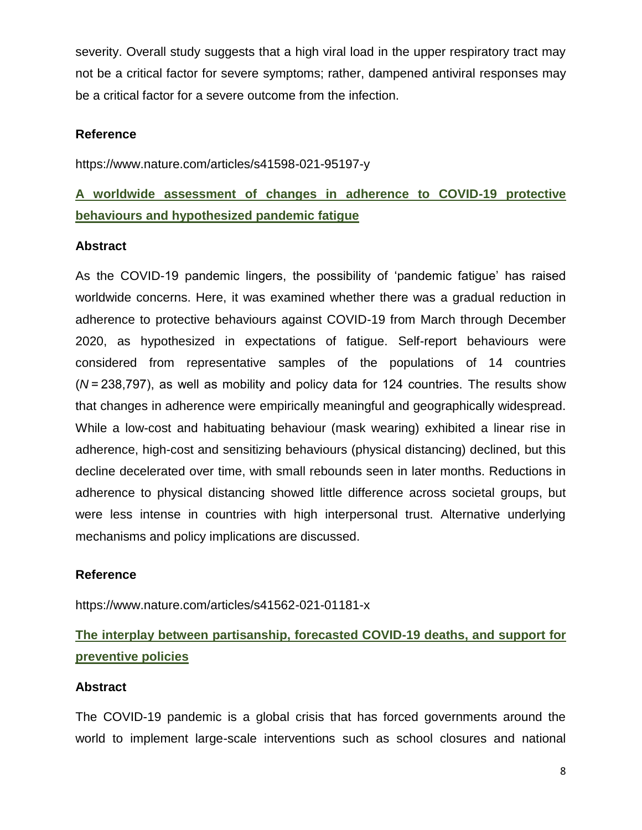severity. Overall study suggests that a high viral load in the upper respiratory tract may not be a critical factor for severe symptoms; rather, dampened antiviral responses may be a critical factor for a severe outcome from the infection.

### **Reference**

https://www.nature.com/articles/s41598-021-95197-y

# **A worldwide assessment of changes in adherence to COVID-19 protective behaviours and hypothesized pandemic fatigue**

#### **Abstract**

As the COVID-19 pandemic lingers, the possibility of 'pandemic fatigue' has raised worldwide concerns. Here, it was examined whether there was a gradual reduction in adherence to protective behaviours against COVID-19 from March through December 2020, as hypothesized in expectations of fatigue. Self-report behaviours were considered from representative samples of the populations of 14 countries (*N* = 238,797), as well as mobility and policy data for 124 countries. The results show that changes in adherence were empirically meaningful and geographically widespread. While a low-cost and habituating behaviour (mask wearing) exhibited a linear rise in adherence, high-cost and sensitizing behaviours (physical distancing) declined, but this decline decelerated over time, with small rebounds seen in later months. Reductions in adherence to physical distancing showed little difference across societal groups, but were less intense in countries with high interpersonal trust. Alternative underlying mechanisms and policy implications are discussed.

#### **Reference**

https://www.nature.com/articles/s41562-021-01181-x

# **The interplay between partisanship, forecasted COVID-19 deaths, and support for preventive policies**

#### **Abstract**

The COVID-19 pandemic is a global crisis that has forced governments around the world to implement large-scale interventions such as school closures and national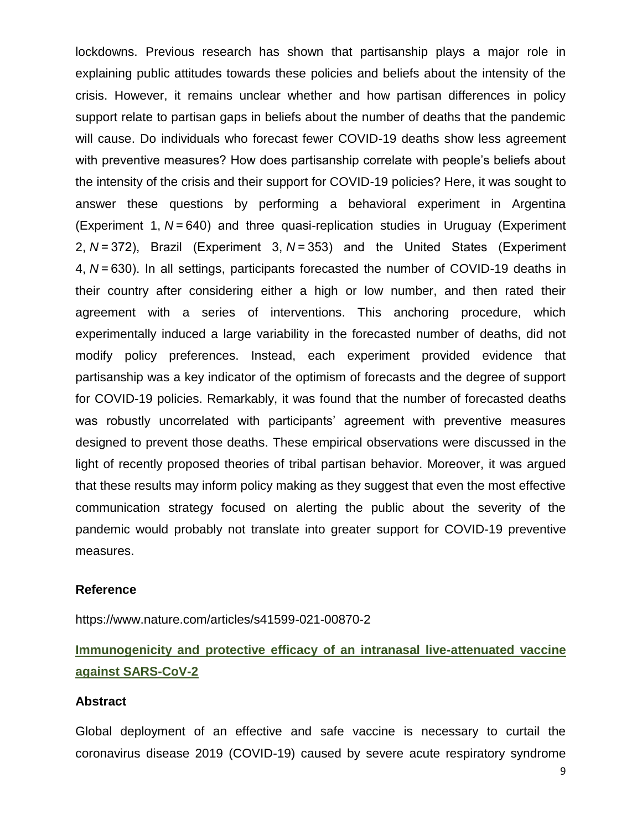lockdowns. Previous research has shown that partisanship plays a major role in explaining public attitudes towards these policies and beliefs about the intensity of the crisis. However, it remains unclear whether and how partisan differences in policy support relate to partisan gaps in beliefs about the number of deaths that the pandemic will cause. Do individuals who forecast fewer COVID-19 deaths show less agreement with preventive measures? How does partisanship correlate with people's beliefs about the intensity of the crisis and their support for COVID-19 policies? Here, it was sought to answer these questions by performing a behavioral experiment in Argentina (Experiment 1, *N* = 640) and three quasi-replication studies in Uruguay (Experiment 2, *N* = 372), Brazil (Experiment 3, *N* = 353) and the United States (Experiment 4, *N* = 630). In all settings, participants forecasted the number of COVID-19 deaths in their country after considering either a high or low number, and then rated their agreement with a series of interventions. This anchoring procedure, which experimentally induced a large variability in the forecasted number of deaths, did not modify policy preferences. Instead, each experiment provided evidence that partisanship was a key indicator of the optimism of forecasts and the degree of support for COVID-19 policies. Remarkably, it was found that the number of forecasted deaths was robustly uncorrelated with participants' agreement with preventive measures designed to prevent those deaths. These empirical observations were discussed in the light of recently proposed theories of tribal partisan behavior. Moreover, it was argued that these results may inform policy making as they suggest that even the most effective communication strategy focused on alerting the public about the severity of the pandemic would probably not translate into greater support for COVID-19 preventive measures.

#### **Reference**

https://www.nature.com/articles/s41599-021-00870-2

**Immunogenicity and protective efficacy of an intranasal live-attenuated vaccine against SARS-CoV-2**

#### **Abstract**

Global deployment of an effective and safe vaccine is necessary to curtail the coronavirus disease 2019 (COVID-19) caused by severe acute respiratory syndrome

9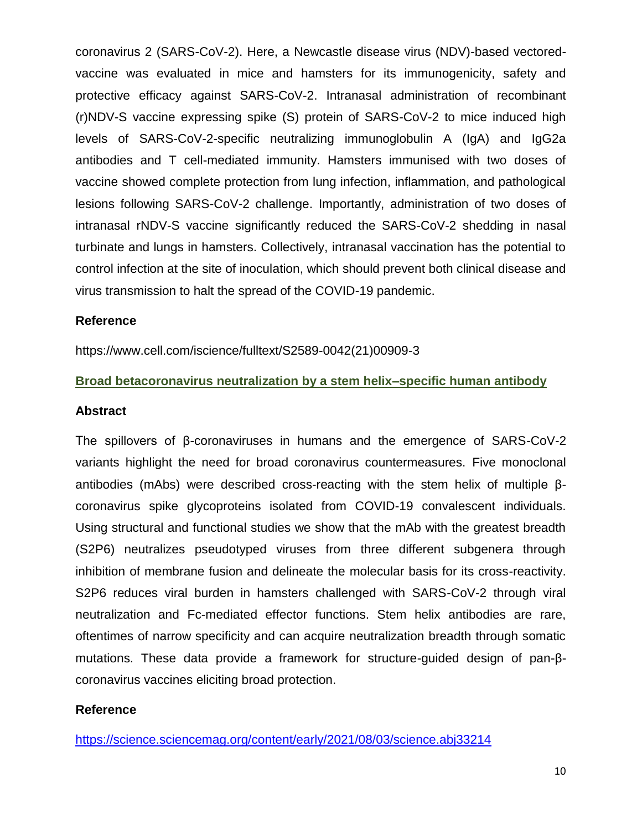coronavirus 2 (SARS-CoV-2). Here, a Newcastle disease virus (NDV)-based vectoredvaccine was evaluated in mice and hamsters for its immunogenicity, safety and protective efficacy against SARS-CoV-2. Intranasal administration of recombinant (r)NDV-S vaccine expressing spike (S) protein of SARS-CoV-2 to mice induced high levels of SARS-CoV-2-specific neutralizing immunoglobulin A (IgA) and IgG2a antibodies and T cell-mediated immunity. Hamsters immunised with two doses of vaccine showed complete protection from lung infection, inflammation, and pathological lesions following SARS-CoV-2 challenge. Importantly, administration of two doses of intranasal rNDV-S vaccine significantly reduced the SARS-CoV-2 shedding in nasal turbinate and lungs in hamsters. Collectively, intranasal vaccination has the potential to control infection at the site of inoculation, which should prevent both clinical disease and virus transmission to halt the spread of the COVID-19 pandemic.

#### **Reference**

https://www.cell.com/iscience/fulltext/S2589-0042(21)00909-3

#### **Broad betacoronavirus neutralization by a stem helix–specific human antibody**

#### **Abstract**

The spillovers of β-coronaviruses in humans and the emergence of SARS-CoV-2 variants highlight the need for broad coronavirus countermeasures. Five monoclonal antibodies (mAbs) were described cross-reacting with the stem helix of multiple βcoronavirus spike glycoproteins isolated from COVID-19 convalescent individuals. Using structural and functional studies we show that the mAb with the greatest breadth (S2P6) neutralizes pseudotyped viruses from three different subgenera through inhibition of membrane fusion and delineate the molecular basis for its cross-reactivity. S2P6 reduces viral burden in hamsters challenged with SARS-CoV-2 through viral neutralization and Fc-mediated effector functions. Stem helix antibodies are rare, oftentimes of narrow specificity and can acquire neutralization breadth through somatic mutations. These data provide a framework for structure-guided design of pan-βcoronavirus vaccines eliciting broad protection.

#### **Reference**

<https://science.sciencemag.org/content/early/2021/08/03/science.abj33214>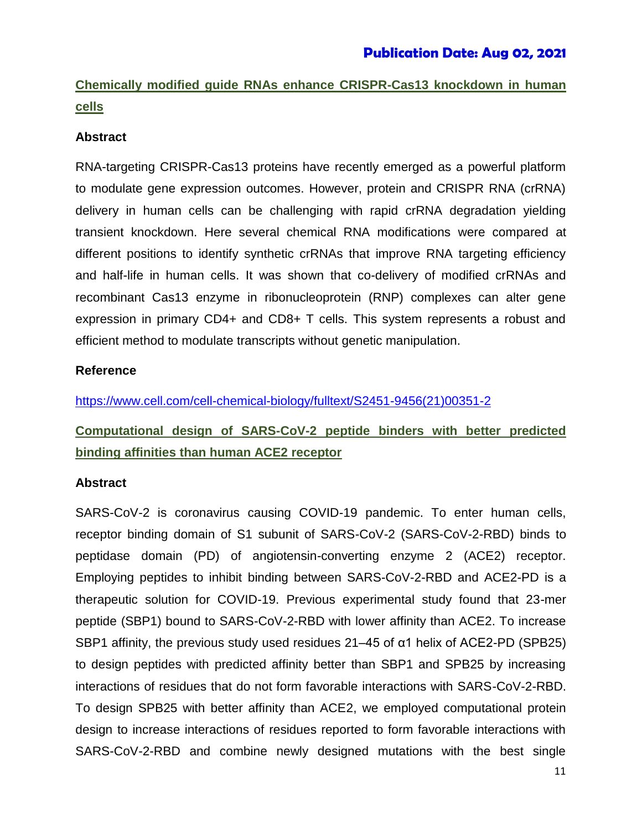### **Publication Date: Aug 02, 2021**

# **Chemically modified guide RNAs enhance CRISPR-Cas13 knockdown in human cells**

#### **Abstract**

RNA-targeting CRISPR-Cas13 proteins have recently emerged as a powerful platform to modulate gene expression outcomes. However, protein and CRISPR RNA (crRNA) delivery in human cells can be challenging with rapid crRNA degradation yielding transient knockdown. Here several chemical RNA modifications were compared at different positions to identify synthetic crRNAs that improve RNA targeting efficiency and half-life in human cells. It was shown that co-delivery of modified crRNAs and recombinant Cas13 enzyme in ribonucleoprotein (RNP) complexes can alter gene expression in primary CD4+ and CD8+ T cells. This system represents a robust and efficient method to modulate transcripts without genetic manipulation.

#### **Reference**

[https://www.cell.com/cell-chemical-biology/fulltext/S2451-9456\(21\)00351-2](https://www.cell.com/cell-chemical-biology/fulltext/S2451-9456(21)00351-2)

# **Computational design of SARS-CoV-2 peptide binders with better predicted binding affinities than human ACE2 receptor**

#### **Abstract**

SARS-CoV-2 is coronavirus causing COVID-19 pandemic. To enter human cells, receptor binding domain of S1 subunit of SARS-CoV-2 (SARS-CoV-2-RBD) binds to peptidase domain (PD) of angiotensin-converting enzyme 2 (ACE2) receptor. Employing peptides to inhibit binding between SARS-CoV-2-RBD and ACE2-PD is a therapeutic solution for COVID-19. Previous experimental study found that 23-mer peptide (SBP1) bound to SARS-CoV-2-RBD with lower affinity than ACE2. To increase SBP1 affinity, the previous study used residues 21–45 of  $\alpha$ 1 helix of ACE2-PD (SPB25) to design peptides with predicted affinity better than SBP1 and SPB25 by increasing interactions of residues that do not form favorable interactions with SARS-CoV-2-RBD. To design SPB25 with better affinity than ACE2, we employed computational protein design to increase interactions of residues reported to form favorable interactions with SARS-CoV-2-RBD and combine newly designed mutations with the best single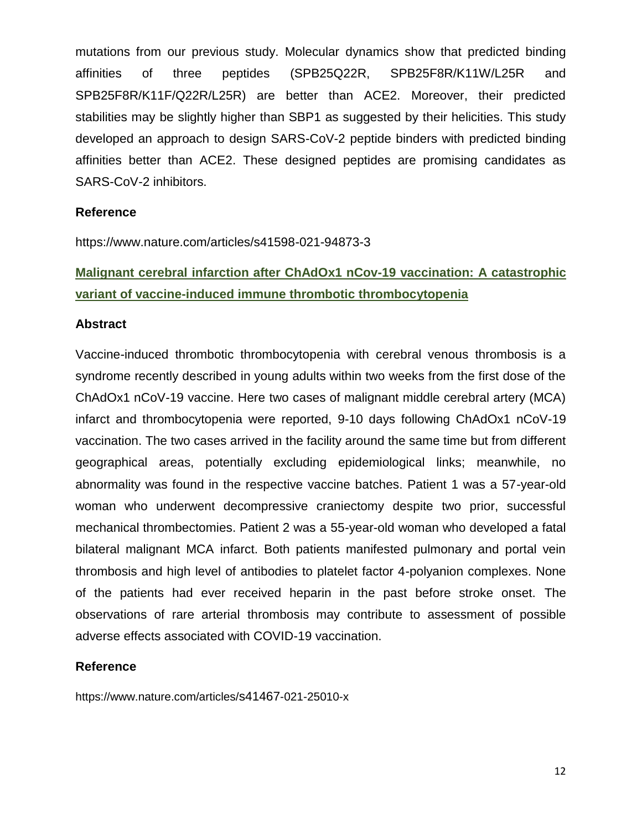mutations from our previous study. Molecular dynamics show that predicted binding affinities of three peptides (SPB25Q22R, SPB25F8R/K11W/L25R and SPB25F8R/K11F/Q22R/L25R) are better than ACE2. Moreover, their predicted stabilities may be slightly higher than SBP1 as suggested by their helicities. This study developed an approach to design SARS-CoV-2 peptide binders with predicted binding affinities better than ACE2. These designed peptides are promising candidates as SARS-CoV-2 inhibitors.

#### **Reference**

https://www.nature.com/articles/s41598-021-94873-3

# **Malignant cerebral infarction after ChAdOx1 nCov-19 vaccination: A catastrophic variant of vaccine-induced immune thrombotic thrombocytopenia**

#### **Abstract**

Vaccine-induced thrombotic thrombocytopenia with cerebral venous thrombosis is a syndrome recently described in young adults within two weeks from the first dose of the ChAdOx1 nCoV-19 vaccine. Here two cases of malignant middle cerebral artery (MCA) infarct and thrombocytopenia were reported, 9-10 days following ChAdOx1 nCoV-19 vaccination. The two cases arrived in the facility around the same time but from different geographical areas, potentially excluding epidemiological links; meanwhile, no abnormality was found in the respective vaccine batches. Patient 1 was a 57-year-old woman who underwent decompressive craniectomy despite two prior, successful mechanical thrombectomies. Patient 2 was a 55-year-old woman who developed a fatal bilateral malignant MCA infarct. Both patients manifested pulmonary and portal vein thrombosis and high level of antibodies to platelet factor 4-polyanion complexes. None of the patients had ever received heparin in the past before stroke onset. The observations of rare arterial thrombosis may contribute to assessment of possible adverse effects associated with COVID-19 vaccination.

#### **Reference**

https://www.nature.com/articles/s41467-021-25010-x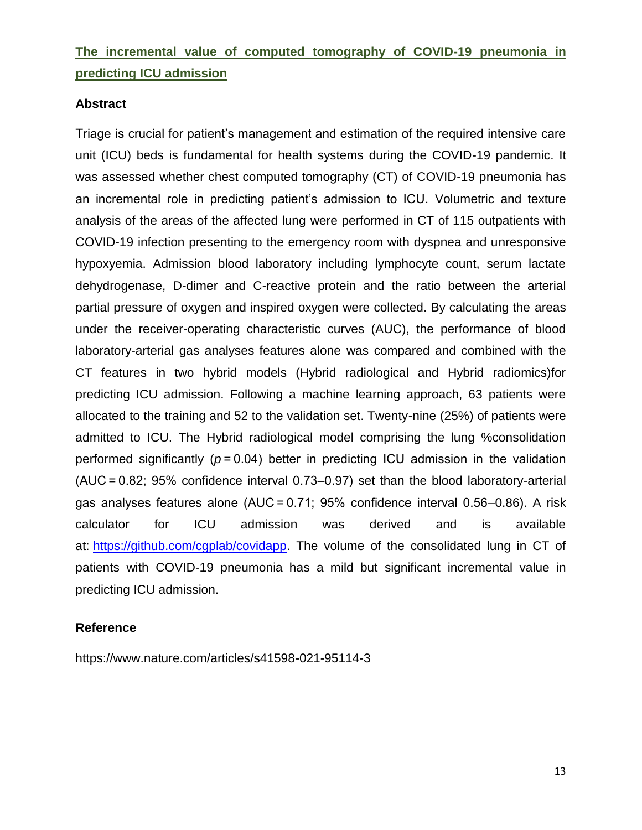# **The incremental value of computed tomography of COVID-19 pneumonia in predicting ICU admission**

### **Abstract**

Triage is crucial for patient's management and estimation of the required intensive care unit (ICU) beds is fundamental for health systems during the COVID-19 pandemic. It was assessed whether chest computed tomography (CT) of COVID-19 pneumonia has an incremental role in predicting patient's admission to ICU. Volumetric and texture analysis of the areas of the affected lung were performed in CT of 115 outpatients with COVID-19 infection presenting to the emergency room with dyspnea and unresponsive hypoxyemia. Admission blood laboratory including lymphocyte count, serum lactate dehydrogenase, D-dimer and C-reactive protein and the ratio between the arterial partial pressure of oxygen and inspired oxygen were collected. By calculating the areas under the receiver-operating characteristic curves (AUC), the performance of blood laboratory-arterial gas analyses features alone was compared and combined with the CT features in two hybrid models (Hybrid radiological and Hybrid radiomics)for predicting ICU admission. Following a machine learning approach, 63 patients were allocated to the training and 52 to the validation set. Twenty-nine (25%) of patients were admitted to ICU. The Hybrid radiological model comprising the lung %consolidation performed significantly ( $p = 0.04$ ) better in predicting ICU admission in the validation (AUC = 0.82; 95% confidence interval 0.73–0.97) set than the blood laboratory-arterial gas analyses features alone (AUC = 0.71; 95% confidence interval 0.56–0.86). A risk calculator for ICU admission was derived and is available at: [https://github.com/cgplab/covidapp.](https://github.com/cgplab/covidapp) The volume of the consolidated lung in CT of patients with COVID-19 pneumonia has a mild but significant incremental value in predicting ICU admission.

#### **Reference**

https://www.nature.com/articles/s41598-021-95114-3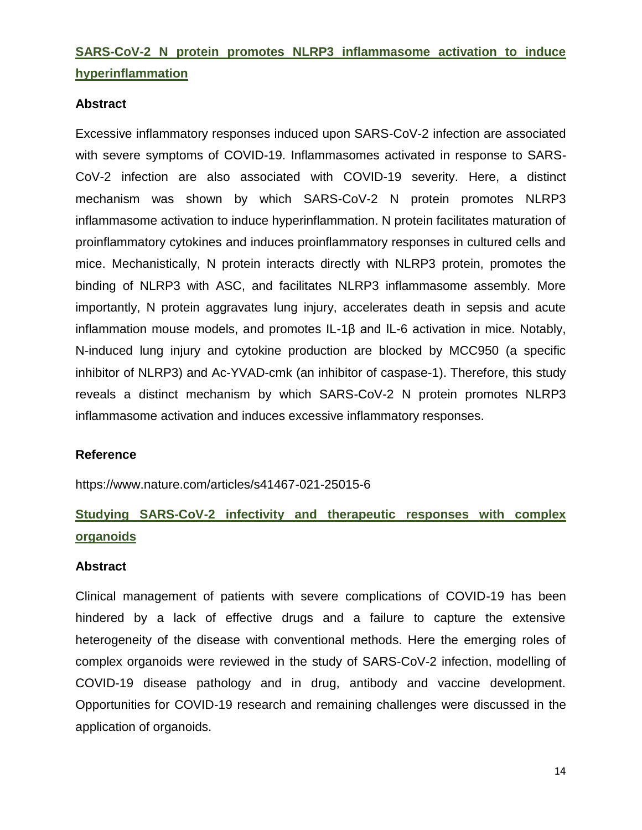# **SARS-CoV-2 N protein promotes NLRP3 inflammasome activation to induce hyperinflammation**

#### **Abstract**

Excessive inflammatory responses induced upon SARS-CoV-2 infection are associated with severe symptoms of COVID-19. Inflammasomes activated in response to SARS-CoV-2 infection are also associated with COVID-19 severity. Here, a distinct mechanism was shown by which SARS-CoV-2 N protein promotes NLRP3 inflammasome activation to induce hyperinflammation. N protein facilitates maturation of proinflammatory cytokines and induces proinflammatory responses in cultured cells and mice. Mechanistically, N protein interacts directly with NLRP3 protein, promotes the binding of NLRP3 with ASC, and facilitates NLRP3 inflammasome assembly. More importantly, N protein aggravates lung injury, accelerates death in sepsis and acute inflammation mouse models, and promotes IL-1β and IL-6 activation in mice. Notably, N-induced lung injury and cytokine production are blocked by MCC950 (a specific inhibitor of NLRP3) and Ac-YVAD-cmk (an inhibitor of caspase-1). Therefore, this study reveals a distinct mechanism by which SARS-CoV-2 N protein promotes NLRP3 inflammasome activation and induces excessive inflammatory responses.

#### **Reference**

https://www.nature.com/articles/s41467-021-25015-6

# **Studying SARS-CoV-2 infectivity and therapeutic responses with complex organoids**

#### **Abstract**

Clinical management of patients with severe complications of COVID-19 has been hindered by a lack of effective drugs and a failure to capture the extensive heterogeneity of the disease with conventional methods. Here the emerging roles of complex organoids were reviewed in the study of SARS-CoV-2 infection, modelling of COVID-19 disease pathology and in drug, antibody and vaccine development. Opportunities for COVID-19 research and remaining challenges were discussed in the application of organoids.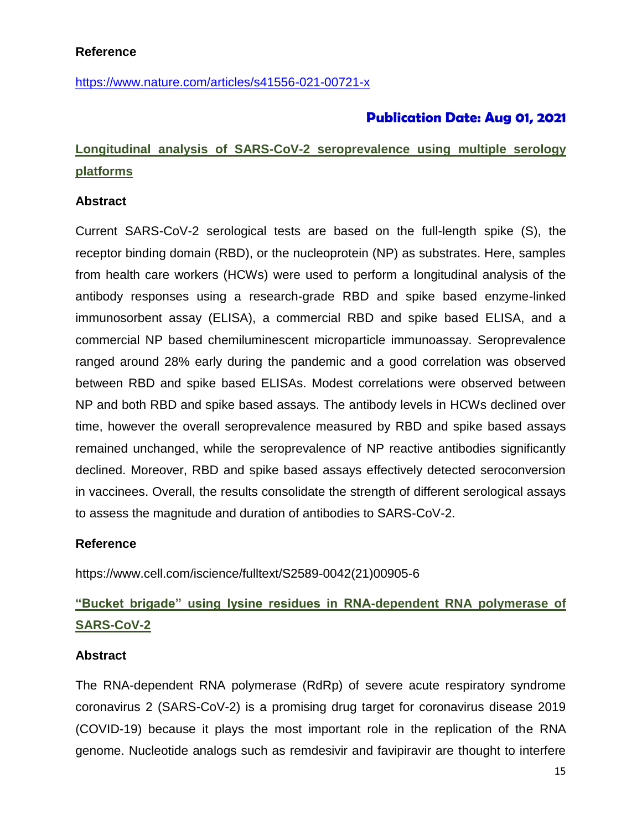### **Reference**

<https://www.nature.com/articles/s41556-021-00721-x>

### **Publication Date: Aug 01, 2021**

# **Longitudinal analysis of SARS-CoV-2 seroprevalence using multiple serology platforms**

#### **Abstract**

Current SARS-CoV-2 serological tests are based on the full-length spike (S), the receptor binding domain (RBD), or the nucleoprotein (NP) as substrates. Here, samples from health care workers (HCWs) were used to perform a longitudinal analysis of the antibody responses using a research-grade RBD and spike based enzyme-linked immunosorbent assay (ELISA), a commercial RBD and spike based ELISA, and a commercial NP based chemiluminescent microparticle immunoassay. Seroprevalence ranged around 28% early during the pandemic and a good correlation was observed between RBD and spike based ELISAs. Modest correlations were observed between NP and both RBD and spike based assays. The antibody levels in HCWs declined over time, however the overall seroprevalence measured by RBD and spike based assays remained unchanged, while the seroprevalence of NP reactive antibodies significantly declined. Moreover, RBD and spike based assays effectively detected seroconversion in vaccinees. Overall, the results consolidate the strength of different serological assays to assess the magnitude and duration of antibodies to SARS-CoV-2.

#### **Reference**

https://www.cell.com/iscience/fulltext/S2589-0042(21)00905-6

# **"Bucket brigade" using lysine residues in RNA-dependent RNA polymerase of SARS-CoV-2**

#### **Abstract**

The RNA-dependent RNA polymerase (RdRp) of severe acute respiratory syndrome coronavirus 2 (SARS-CoV-2) is a promising drug target for coronavirus disease 2019 (COVID-19) because it plays the most important role in the replication of the RNA genome. Nucleotide analogs such as remdesivir and favipiravir are thought to interfere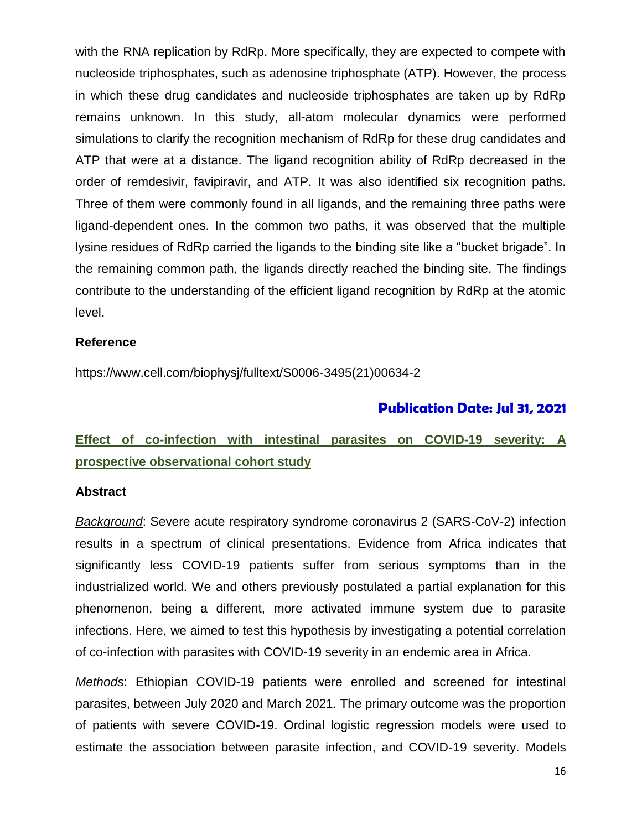with the RNA replication by RdRp. More specifically, they are expected to compete with nucleoside triphosphates, such as adenosine triphosphate (ATP). However, the process in which these drug candidates and nucleoside triphosphates are taken up by RdRp remains unknown. In this study, all-atom molecular dynamics were performed simulations to clarify the recognition mechanism of RdRp for these drug candidates and ATP that were at a distance. The ligand recognition ability of RdRp decreased in the order of remdesivir, favipiravir, and ATP. It was also identified six recognition paths. Three of them were commonly found in all ligands, and the remaining three paths were ligand-dependent ones. In the common two paths, it was observed that the multiple lysine residues of RdRp carried the ligands to the binding site like a "bucket brigade". In the remaining common path, the ligands directly reached the binding site. The findings contribute to the understanding of the efficient ligand recognition by RdRp at the atomic level.

#### **Reference**

https://www.cell.com/biophysj/fulltext/S0006-3495(21)00634-2

#### **Publication Date: Jul 31, 2021**

### **Effect of co-infection with intestinal parasites on COVID-19 severity: A prospective observational cohort study**

#### **Abstract**

*Background*: Severe acute respiratory syndrome coronavirus 2 (SARS-CoV-2) infection results in a spectrum of clinical presentations. Evidence from Africa indicates that significantly less COVID-19 patients suffer from serious symptoms than in the industrialized world. We and others previously postulated a partial explanation for this phenomenon, being a different, more activated immune system due to parasite infections. Here, we aimed to test this hypothesis by investigating a potential correlation of co-infection with parasites with COVID-19 severity in an endemic area in Africa.

*Methods*: Ethiopian COVID-19 patients were enrolled and screened for intestinal parasites, between July 2020 and March 2021. The primary outcome was the proportion of patients with severe COVID-19. Ordinal logistic regression models were used to estimate the association between parasite infection, and COVID-19 severity. Models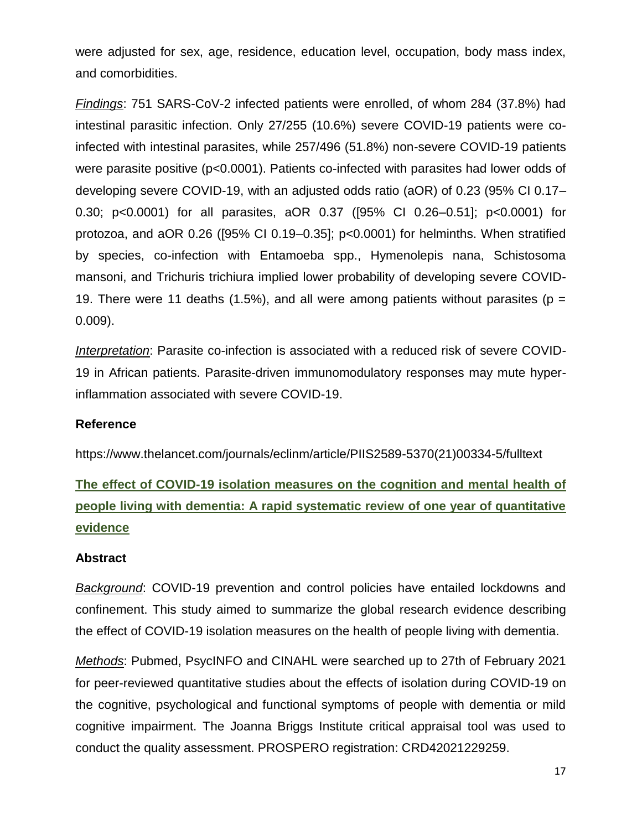were adjusted for sex, age, residence, education level, occupation, body mass index, and comorbidities.

*Findings*: 751 SARS-CoV-2 infected patients were enrolled, of whom 284 (37.8%) had intestinal parasitic infection. Only 27/255 (10.6%) severe COVID-19 patients were coinfected with intestinal parasites, while 257/496 (51.8%) non-severe COVID-19 patients were parasite positive (p<0.0001). Patients co-infected with parasites had lower odds of developing severe COVID-19, with an adjusted odds ratio (aOR) of 0.23 (95% CI 0.17– 0.30; p<0.0001) for all parasites, aOR 0.37 ([95% CI 0.26–0.51]; p<0.0001) for protozoa, and aOR 0.26 ([95% CI 0.19–0.35]; p<0.0001) for helminths. When stratified by species, co-infection with Entamoeba spp., Hymenolepis nana, Schistosoma mansoni, and Trichuris trichiura implied lower probability of developing severe COVID-19. There were 11 deaths (1.5%), and all were among patients without parasites ( $p =$ 0.009).

*Interpretation*: Parasite co-infection is associated with a reduced risk of severe COVID-19 in African patients. Parasite-driven immunomodulatory responses may mute hyperinflammation associated with severe COVID-19.

#### **Reference**

https://www.thelancet.com/journals/eclinm/article/PIIS2589-5370(21)00334-5/fulltext

**The effect of COVID-19 isolation measures on the cognition and mental health of people living with dementia: A rapid systematic review of one year of quantitative evidence**

#### **Abstract**

*Background*: COVID-19 prevention and control policies have entailed lockdowns and confinement. This study aimed to summarize the global research evidence describing the effect of COVID-19 isolation measures on the health of people living with dementia.

*Methods*: Pubmed, PsycINFO and CINAHL were searched up to 27th of February 2021 for peer-reviewed quantitative studies about the effects of isolation during COVID-19 on the cognitive, psychological and functional symptoms of people with dementia or mild cognitive impairment. The Joanna Briggs Institute critical appraisal tool was used to conduct the quality assessment. PROSPERO registration: CRD42021229259.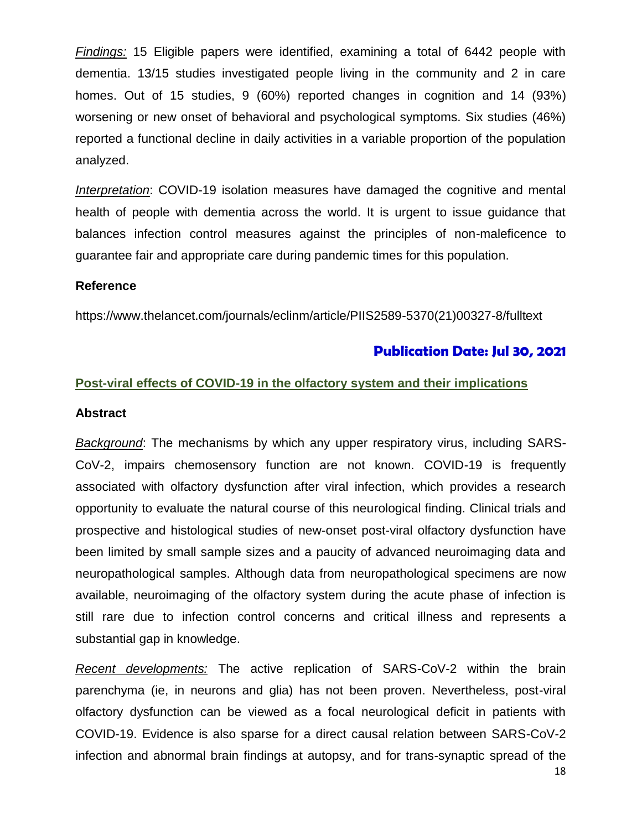*Findings:* 15 Eligible papers were identified, examining a total of 6442 people with dementia. 13/15 studies investigated people living in the community and 2 in care homes. Out of 15 studies, 9 (60%) reported changes in cognition and 14 (93%) worsening or new onset of behavioral and psychological symptoms. Six studies (46%) reported a functional decline in daily activities in a variable proportion of the population analyzed.

*Interpretation*: COVID-19 isolation measures have damaged the cognitive and mental health of people with dementia across the world. It is urgent to issue guidance that balances infection control measures against the principles of non-maleficence to guarantee fair and appropriate care during pandemic times for this population.

#### **Reference**

https://www.thelancet.com/journals/eclinm/article/PIIS2589-5370(21)00327-8/fulltext

### **Publication Date: Jul 30, 2021**

#### **Post-viral effects of COVID-19 in the olfactory system and their implications**

#### **Abstract**

*Background*: The mechanisms by which any upper respiratory virus, including SARS-CoV-2, impairs chemosensory function are not known. COVID-19 is frequently associated with olfactory dysfunction after viral infection, which provides a research opportunity to evaluate the natural course of this neurological finding. Clinical trials and prospective and histological studies of new-onset post-viral olfactory dysfunction have been limited by small sample sizes and a paucity of advanced neuroimaging data and neuropathological samples. Although data from neuropathological specimens are now available, neuroimaging of the olfactory system during the acute phase of infection is still rare due to infection control concerns and critical illness and represents a substantial gap in knowledge.

*Recent developments:* The active replication of SARS-CoV-2 within the brain parenchyma (ie, in neurons and glia) has not been proven. Nevertheless, post-viral olfactory dysfunction can be viewed as a focal neurological deficit in patients with COVID-19. Evidence is also sparse for a direct causal relation between SARS-CoV-2 infection and abnormal brain findings at autopsy, and for trans-synaptic spread of the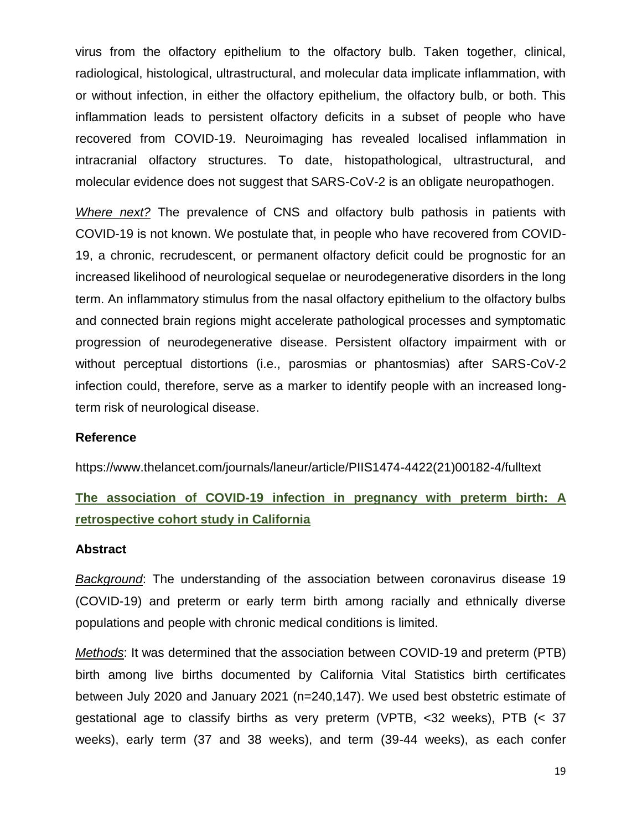virus from the olfactory epithelium to the olfactory bulb. Taken together, clinical, radiological, histological, ultrastructural, and molecular data implicate inflammation, with or without infection, in either the olfactory epithelium, the olfactory bulb, or both. This inflammation leads to persistent olfactory deficits in a subset of people who have recovered from COVID-19. Neuroimaging has revealed localised inflammation in intracranial olfactory structures. To date, histopathological, ultrastructural, and molecular evidence does not suggest that SARS-CoV-2 is an obligate neuropathogen.

*Where next?* The prevalence of CNS and olfactory bulb pathosis in patients with COVID-19 is not known. We postulate that, in people who have recovered from COVID-19, a chronic, recrudescent, or permanent olfactory deficit could be prognostic for an increased likelihood of neurological sequelae or neurodegenerative disorders in the long term. An inflammatory stimulus from the nasal olfactory epithelium to the olfactory bulbs and connected brain regions might accelerate pathological processes and symptomatic progression of neurodegenerative disease. Persistent olfactory impairment with or without perceptual distortions (i.e., parosmias or phantosmias) after SARS-CoV-2 infection could, therefore, serve as a marker to identify people with an increased longterm risk of neurological disease.

#### **Reference**

https://www.thelancet.com/journals/laneur/article/PIIS1474-4422(21)00182-4/fulltext

# **The association of COVID-19 infection in pregnancy with preterm birth: A retrospective cohort study in California**

#### **Abstract**

*Background*: The understanding of the association between coronavirus disease 19 (COVID-19) and preterm or early term birth among racially and ethnically diverse populations and people with chronic medical conditions is limited.

*Methods*: It was determined that the association between COVID-19 and preterm (PTB) birth among live births documented by California Vital Statistics birth certificates between July 2020 and January 2021 (n=240,147). We used best obstetric estimate of gestational age to classify births as very preterm (VPTB, <32 weeks), PTB (< 37 weeks), early term (37 and 38 weeks), and term (39-44 weeks), as each confer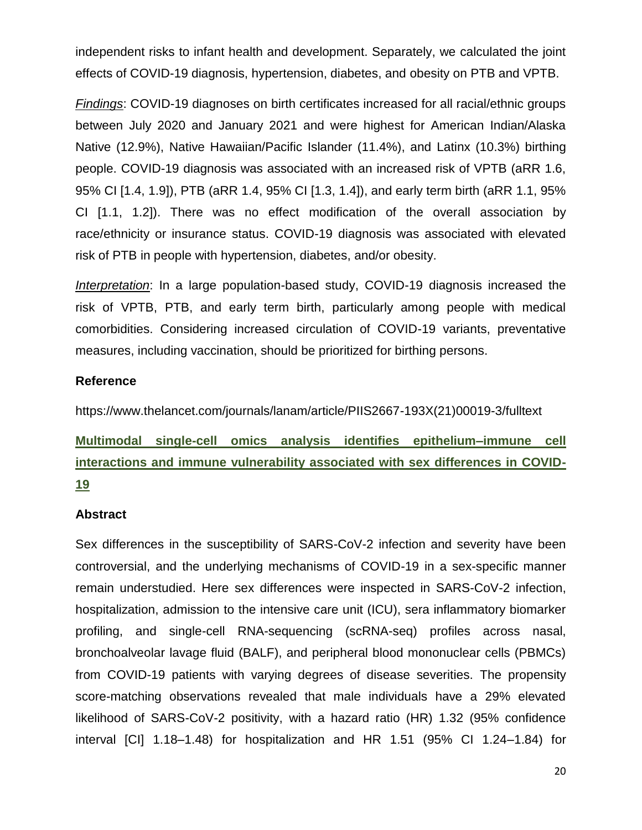independent risks to infant health and development. Separately, we calculated the joint effects of COVID-19 diagnosis, hypertension, diabetes, and obesity on PTB and VPTB.

*Findings*: COVID-19 diagnoses on birth certificates increased for all racial/ethnic groups between July 2020 and January 2021 and were highest for American Indian/Alaska Native (12.9%), Native Hawaiian/Pacific Islander (11.4%), and Latinx (10.3%) birthing people. COVID-19 diagnosis was associated with an increased risk of VPTB (aRR 1.6, 95% CI [1.4, 1.9]), PTB (aRR 1.4, 95% CI [1.3, 1.4]), and early term birth (aRR 1.1, 95% CI [1.1, 1.2]). There was no effect modification of the overall association by race/ethnicity or insurance status. COVID-19 diagnosis was associated with elevated risk of PTB in people with hypertension, diabetes, and/or obesity.

*Interpretation*: In a large population-based study, COVID-19 diagnosis increased the risk of VPTB, PTB, and early term birth, particularly among people with medical comorbidities. Considering increased circulation of COVID-19 variants, preventative measures, including vaccination, should be prioritized for birthing persons.

#### **Reference**

https://www.thelancet.com/journals/lanam/article/PIIS2667-193X(21)00019-3/fulltext

**Multimodal single-cell omics analysis identifies epithelium–immune cell interactions and immune vulnerability associated with sex differences in COVID-19** 

#### **Abstract**

Sex differences in the susceptibility of SARS-CoV-2 infection and severity have been controversial, and the underlying mechanisms of COVID-19 in a sex-specific manner remain understudied. Here sex differences were inspected in SARS-CoV-2 infection, hospitalization, admission to the intensive care unit (ICU), sera inflammatory biomarker profiling, and single-cell RNA-sequencing (scRNA-seq) profiles across nasal, bronchoalveolar lavage fluid (BALF), and peripheral blood mononuclear cells (PBMCs) from COVID-19 patients with varying degrees of disease severities. The propensity score-matching observations revealed that male individuals have a 29% elevated likelihood of SARS-CoV-2 positivity, with a hazard ratio (HR) 1.32 (95% confidence interval [CI] 1.18–1.48) for hospitalization and HR 1.51 (95% CI 1.24–1.84) for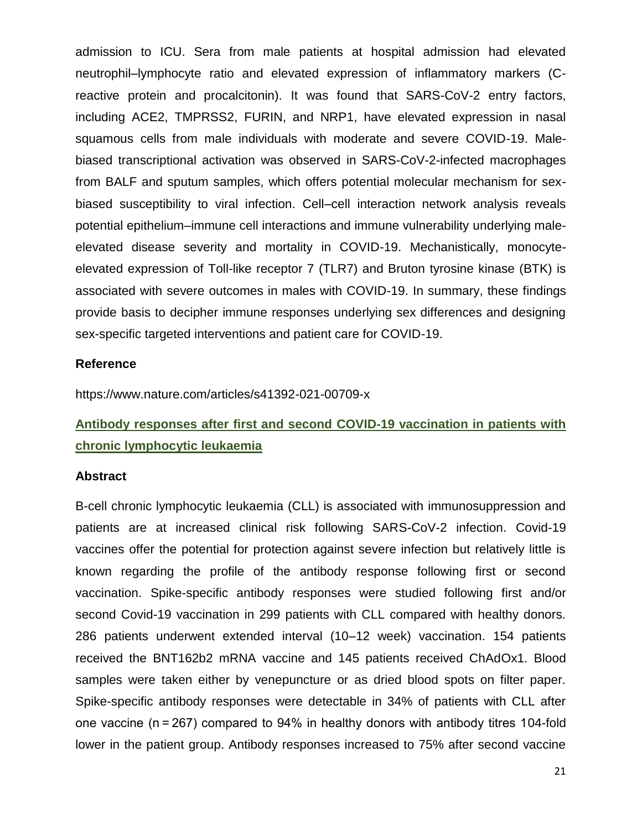admission to ICU. Sera from male patients at hospital admission had elevated neutrophil–lymphocyte ratio and elevated expression of inflammatory markers (Creactive protein and procalcitonin). It was found that SARS-CoV-2 entry factors, including ACE2, TMPRSS2, FURIN, and NRP1, have elevated expression in nasal squamous cells from male individuals with moderate and severe COVID-19. Malebiased transcriptional activation was observed in SARS-CoV-2-infected macrophages from BALF and sputum samples, which offers potential molecular mechanism for sexbiased susceptibility to viral infection. Cell–cell interaction network analysis reveals potential epithelium–immune cell interactions and immune vulnerability underlying maleelevated disease severity and mortality in COVID-19. Mechanistically, monocyteelevated expression of Toll-like receptor 7 (TLR7) and Bruton tyrosine kinase (BTK) is associated with severe outcomes in males with COVID-19. In summary, these findings provide basis to decipher immune responses underlying sex differences and designing sex-specific targeted interventions and patient care for COVID-19.

#### **Reference**

https://www.nature.com/articles/s41392-021-00709-x

### **Antibody responses after first and second COVID-19 vaccination in patients with chronic lymphocytic leukaemia**

#### **Abstract**

B-cell chronic lymphocytic leukaemia (CLL) is associated with immunosuppression and patients are at increased clinical risk following SARS-CoV-2 infection. Covid-19 vaccines offer the potential for protection against severe infection but relatively little is known regarding the profile of the antibody response following first or second vaccination. Spike-specific antibody responses were studied following first and/or second Covid-19 vaccination in 299 patients with CLL compared with healthy donors. 286 patients underwent extended interval (10–12 week) vaccination. 154 patients received the BNT162b2 mRNA vaccine and 145 patients received ChAdOx1. Blood samples were taken either by venepuncture or as dried blood spots on filter paper. Spike-specific antibody responses were detectable in 34% of patients with CLL after one vaccine (n = 267) compared to 94% in healthy donors with antibody titres 104-fold lower in the patient group. Antibody responses increased to 75% after second vaccine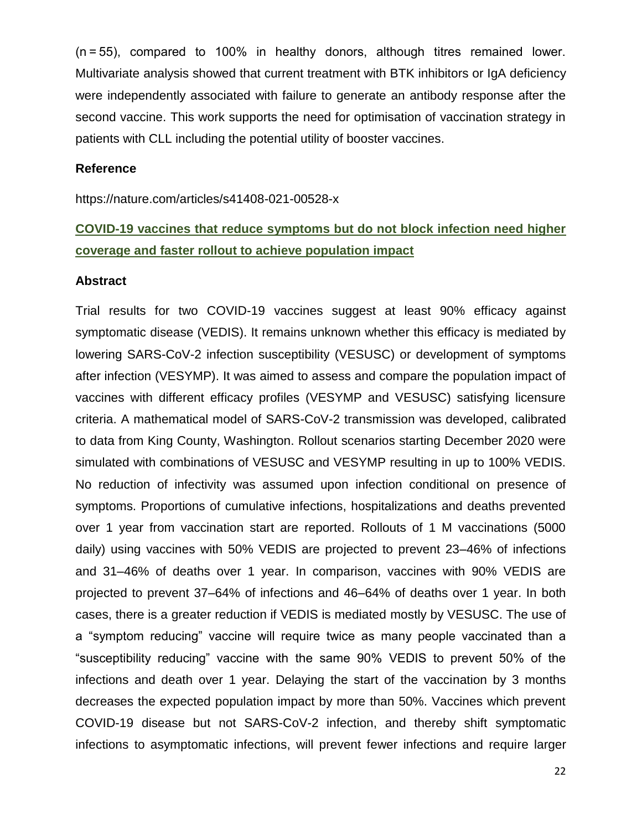(n = 55), compared to 100% in healthy donors, although titres remained lower. Multivariate analysis showed that current treatment with BTK inhibitors or IgA deficiency were independently associated with failure to generate an antibody response after the second vaccine. This work supports the need for optimisation of vaccination strategy in patients with CLL including the potential utility of booster vaccines.

#### **Reference**

https://nature.com/articles/s41408-021-00528-x

### **COVID-19 vaccines that reduce symptoms but do not block infection need higher coverage and faster rollout to achieve population impact**

#### **Abstract**

Trial results for two COVID-19 vaccines suggest at least 90% efficacy against symptomatic disease (VEDIS). It remains unknown whether this efficacy is mediated by lowering SARS-CoV-2 infection susceptibility (VESUSC) or development of symptoms after infection (VESYMP). It was aimed to assess and compare the population impact of vaccines with different efficacy profiles (VESYMP and VESUSC) satisfying licensure criteria. A mathematical model of SARS-CoV-2 transmission was developed, calibrated to data from King County, Washington. Rollout scenarios starting December 2020 were simulated with combinations of VESUSC and VESYMP resulting in up to 100% VEDIS. No reduction of infectivity was assumed upon infection conditional on presence of symptoms. Proportions of cumulative infections, hospitalizations and deaths prevented over 1 year from vaccination start are reported. Rollouts of 1 M vaccinations (5000 daily) using vaccines with 50% VEDIS are projected to prevent 23–46% of infections and 31–46% of deaths over 1 year. In comparison, vaccines with 90% VEDIS are projected to prevent 37–64% of infections and 46–64% of deaths over 1 year. In both cases, there is a greater reduction if VEDIS is mediated mostly by VESUSC. The use of a "symptom reducing" vaccine will require twice as many people vaccinated than a "susceptibility reducing" vaccine with the same 90% VEDIS to prevent 50% of the infections and death over 1 year. Delaying the start of the vaccination by 3 months decreases the expected population impact by more than 50%. Vaccines which prevent COVID-19 disease but not SARS-CoV-2 infection, and thereby shift symptomatic infections to asymptomatic infections, will prevent fewer infections and require larger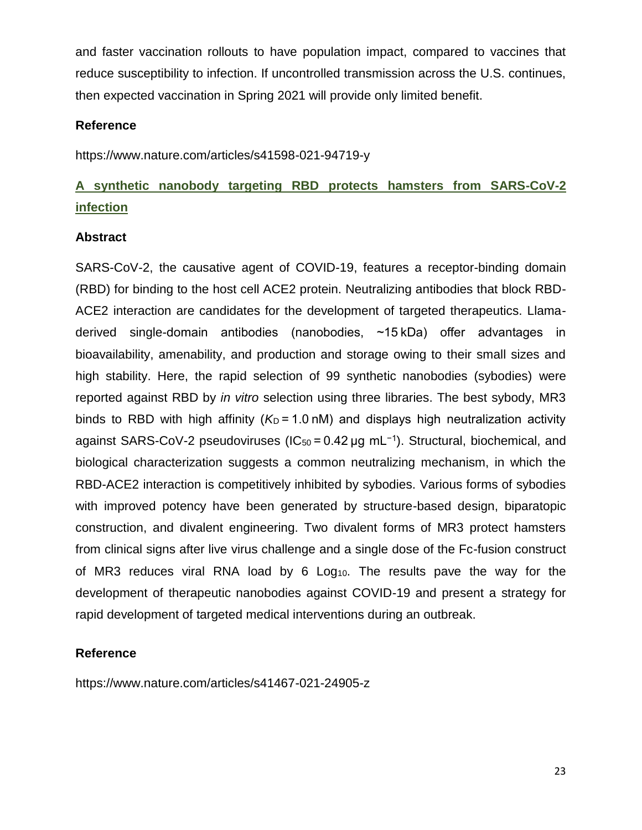and faster vaccination rollouts to have population impact, compared to vaccines that reduce susceptibility to infection. If uncontrolled transmission across the U.S. continues, then expected vaccination in Spring 2021 will provide only limited benefit.

### **Reference**

https://www.nature.com/articles/s41598-021-94719-y

# **A synthetic nanobody targeting RBD protects hamsters from SARS-CoV-2 infection**

#### **Abstract**

SARS-CoV-2, the causative agent of COVID-19, features a receptor-binding domain (RBD) for binding to the host cell ACE2 protein. Neutralizing antibodies that block RBD-ACE2 interaction are candidates for the development of targeted therapeutics. Llamaderived single-domain antibodies (nanobodies, ~15 kDa) offer advantages in bioavailability, amenability, and production and storage owing to their small sizes and high stability. Here, the rapid selection of 99 synthetic nanobodies (sybodies) were reported against RBD by *in vitro* selection using three libraries. The best sybody, MR3 binds to RBD with high affinity ( $K_D = 1.0$  nM) and displays high neutralization activity against SARS-CoV-2 pseudoviruses ( $IC_{50}$  = 0.42 µg mL<sup>-1</sup>). Structural, biochemical, and biological characterization suggests a common neutralizing mechanism, in which the RBD-ACE2 interaction is competitively inhibited by sybodies. Various forms of sybodies with improved potency have been generated by structure-based design, biparatopic construction, and divalent engineering. Two divalent forms of MR3 protect hamsters from clinical signs after live virus challenge and a single dose of the Fc-fusion construct of MR3 reduces viral RNA load by 6 Log10. The results pave the way for the development of therapeutic nanobodies against COVID-19 and present a strategy for rapid development of targeted medical interventions during an outbreak.

### **Reference**

https://www.nature.com/articles/s41467-021-24905-z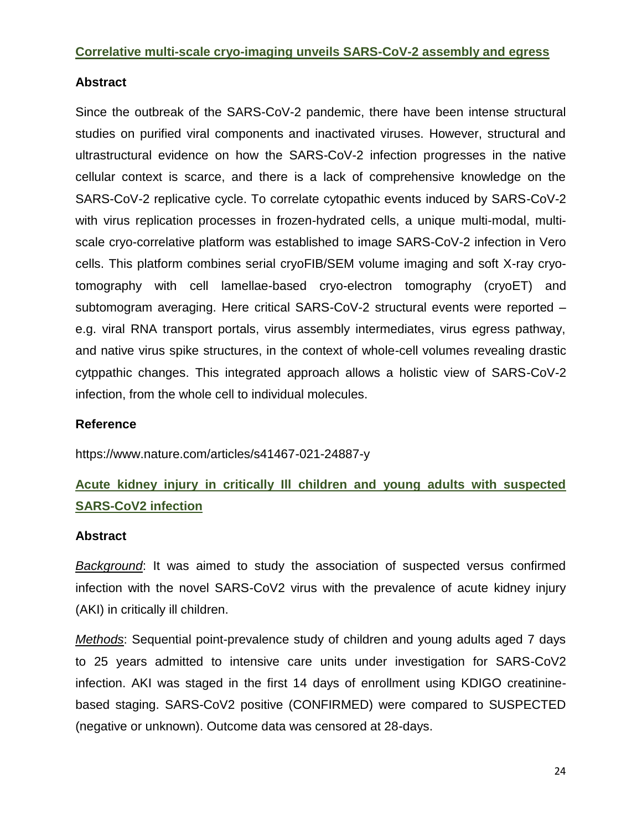#### **Correlative multi-scale cryo-imaging unveils SARS-CoV-2 assembly and egress**

### **Abstract**

Since the outbreak of the SARS-CoV-2 pandemic, there have been intense structural studies on purified viral components and inactivated viruses. However, structural and ultrastructural evidence on how the SARS-CoV-2 infection progresses in the native cellular context is scarce, and there is a lack of comprehensive knowledge on the SARS-CoV-2 replicative cycle. To correlate cytopathic events induced by SARS-CoV-2 with virus replication processes in frozen-hydrated cells, a unique multi-modal, multiscale cryo-correlative platform was established to image SARS-CoV-2 infection in Vero cells. This platform combines serial cryoFIB/SEM volume imaging and soft X-ray cryotomography with cell lamellae-based cryo-electron tomography (cryoET) and subtomogram averaging. Here critical SARS-CoV-2 structural events were reported – e.g. viral RNA transport portals, virus assembly intermediates, virus egress pathway, and native virus spike structures, in the context of whole-cell volumes revealing drastic cytppathic changes. This integrated approach allows a holistic view of SARS-CoV-2 infection, from the whole cell to individual molecules.

#### **Reference**

https://www.nature.com/articles/s41467-021-24887-y

# **Acute kidney injury in critically Ill children and young adults with suspected SARS-CoV2 infection**

#### **Abstract**

*Background*: It was aimed to study the association of suspected versus confirmed infection with the novel SARS-CoV2 virus with the prevalence of acute kidney injury (AKI) in critically ill children.

*Methods*: Sequential point-prevalence study of children and young adults aged 7 days to 25 years admitted to intensive care units under investigation for SARS-CoV2 infection. AKI was staged in the first 14 days of enrollment using KDIGO creatininebased staging. SARS-CoV2 positive (CONFIRMED) were compared to SUSPECTED (negative or unknown). Outcome data was censored at 28-days.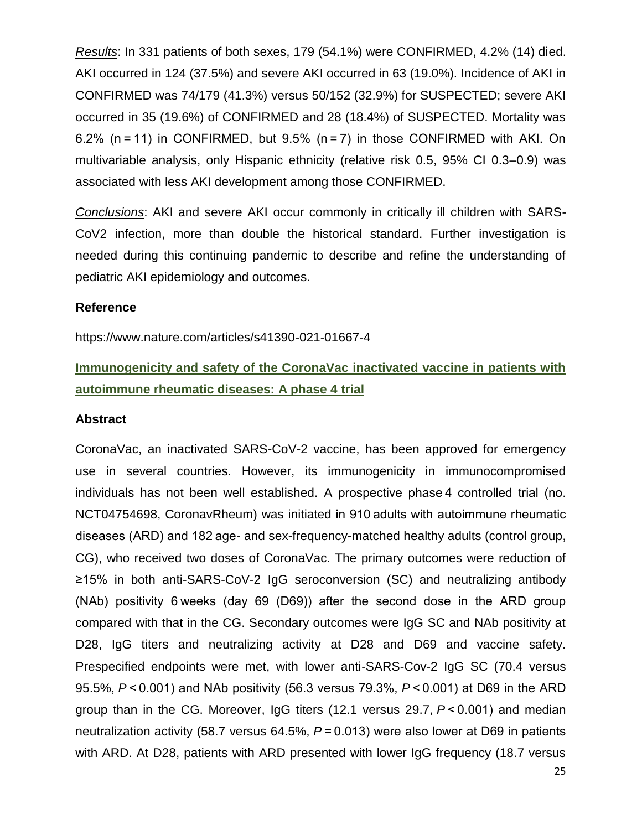*Results*: In 331 patients of both sexes, 179 (54.1%) were CONFIRMED, 4.2% (14) died. AKI occurred in 124 (37.5%) and severe AKI occurred in 63 (19.0%). Incidence of AKI in CONFIRMED was 74/179 (41.3%) versus 50/152 (32.9%) for SUSPECTED; severe AKI occurred in 35 (19.6%) of CONFIRMED and 28 (18.4%) of SUSPECTED. Mortality was 6.2% (n = 11) in CONFIRMED, but 9.5% (n = 7) in those CONFIRMED with AKI. On multivariable analysis, only Hispanic ethnicity (relative risk 0.5, 95% CI 0.3–0.9) was associated with less AKI development among those CONFIRMED.

*Conclusions*: AKI and severe AKI occur commonly in critically ill children with SARS-CoV2 infection, more than double the historical standard. Further investigation is needed during this continuing pandemic to describe and refine the understanding of pediatric AKI epidemiology and outcomes.

#### **Reference**

https://www.nature.com/articles/s41390-021-01667-4

# **Immunogenicity and safety of the CoronaVac inactivated vaccine in patients with autoimmune rheumatic diseases: A phase 4 trial**

#### **Abstract**

CoronaVac, an inactivated SARS-CoV-2 vaccine, has been approved for emergency use in several countries. However, its immunogenicity in immunocompromised individuals has not been well established. A prospective phase 4 controlled trial (no. NCT04754698, CoronavRheum) was initiated in 910 adults with autoimmune rheumatic diseases (ARD) and 182 age- and sex-frequency-matched healthy adults (control group, CG), who received two doses of CoronaVac. The primary outcomes were reduction of ≥15% in both anti-SARS-CoV-2 IgG seroconversion (SC) and neutralizing antibody (NAb) positivity 6 weeks (day 69 (D69)) after the second dose in the ARD group compared with that in the CG. Secondary outcomes were IgG SC and NAb positivity at D28, IgG titers and neutralizing activity at D28 and D69 and vaccine safety. Prespecified endpoints were met, with lower anti-SARS-Cov-2 IgG SC (70.4 versus 95.5%, *P* < 0.001) and NAb positivity (56.3 versus 79.3%, *P* < 0.001) at D69 in the ARD group than in the CG. Moreover, IgG titers (12.1 versus 29.7, *P* < 0.001) and median neutralization activity (58.7 versus 64.5%, *P* = 0.013) were also lower at D69 in patients with ARD. At D28, patients with ARD presented with lower IgG frequency (18.7 versus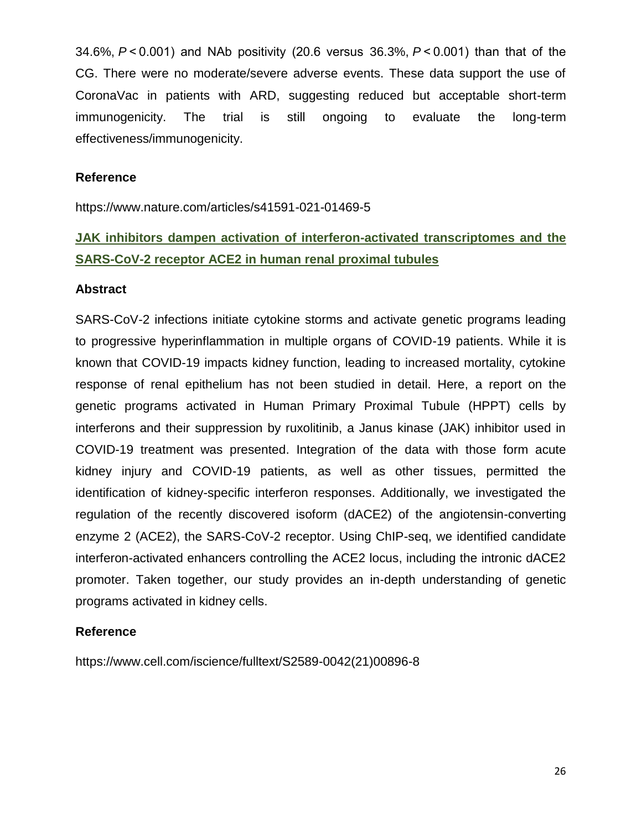34.6%, *P* < 0.001) and NAb positivity (20.6 versus 36.3%, *P* < 0.001) than that of the CG. There were no moderate/severe adverse events. These data support the use of CoronaVac in patients with ARD, suggesting reduced but acceptable short-term immunogenicity. The trial is still ongoing to evaluate the long-term effectiveness/immunogenicity.

#### **Reference**

https://www.nature.com/articles/s41591-021-01469-5

# **JAK inhibitors dampen activation of interferon-activated transcriptomes and the SARS-CoV-2 receptor ACE2 in human renal proximal tubules**

#### **Abstract**

SARS-CoV-2 infections initiate cytokine storms and activate genetic programs leading to progressive hyperinflammation in multiple organs of COVID-19 patients. While it is known that COVID-19 impacts kidney function, leading to increased mortality, cytokine response of renal epithelium has not been studied in detail. Here, a report on the genetic programs activated in Human Primary Proximal Tubule (HPPT) cells by interferons and their suppression by ruxolitinib, a Janus kinase (JAK) inhibitor used in COVID-19 treatment was presented. Integration of the data with those form acute kidney injury and COVID-19 patients, as well as other tissues, permitted the identification of kidney-specific interferon responses. Additionally, we investigated the regulation of the recently discovered isoform (dACE2) of the angiotensin-converting enzyme 2 (ACE2), the SARS-CoV-2 receptor. Using ChIP-seq, we identified candidate interferon-activated enhancers controlling the ACE2 locus, including the intronic dACE2 promoter. Taken together, our study provides an in-depth understanding of genetic programs activated in kidney cells.

#### **Reference**

https://www.cell.com/iscience/fulltext/S2589-0042(21)00896-8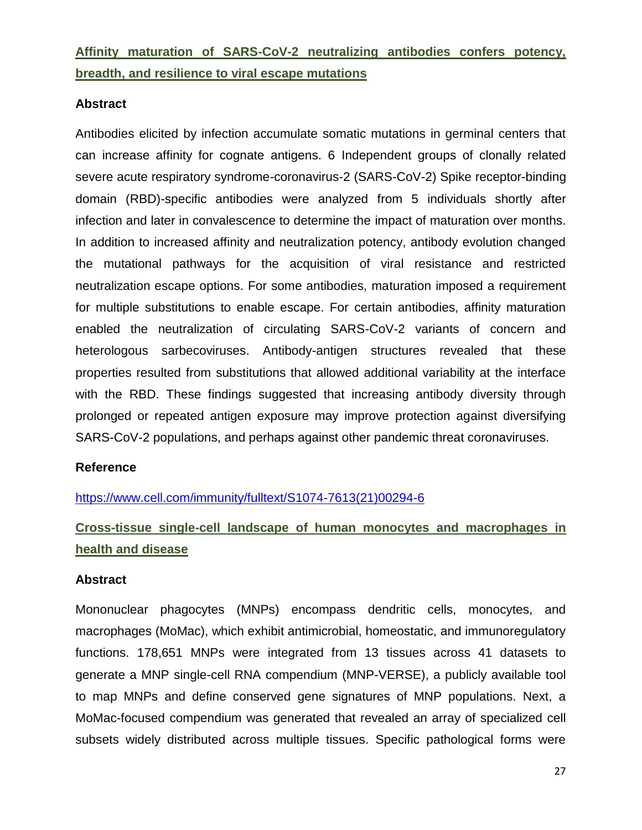**Affinity maturation of SARS-CoV-2 neutralizing antibodies confers potency, breadth, and resilience to viral escape mutations**

#### **Abstract**

Antibodies elicited by infection accumulate somatic mutations in germinal centers that can increase affinity for cognate antigens. 6 Independent groups of clonally related severe acute respiratory syndrome-coronavirus-2 (SARS-CoV-2) Spike receptor-binding domain (RBD)-specific antibodies were analyzed from 5 individuals shortly after infection and later in convalescence to determine the impact of maturation over months. In addition to increased affinity and neutralization potency, antibody evolution changed the mutational pathways for the acquisition of viral resistance and restricted neutralization escape options. For some antibodies, maturation imposed a requirement for multiple substitutions to enable escape. For certain antibodies, affinity maturation enabled the neutralization of circulating SARS-CoV-2 variants of concern and heterologous sarbecoviruses. Antibody-antigen structures revealed that these properties resulted from substitutions that allowed additional variability at the interface with the RBD. These findings suggested that increasing antibody diversity through prolonged or repeated antigen exposure may improve protection against diversifying SARS-CoV-2 populations, and perhaps against other pandemic threat coronaviruses.

#### **Reference**

[https://www.cell.com/immunity/fulltext/S1074-7613\(21\)00294-6](https://www.cell.com/immunity/fulltext/S1074-7613(21)00294-6)

# **Cross-tissue single-cell landscape of human monocytes and macrophages in health and disease**

#### **Abstract**

Mononuclear phagocytes (MNPs) encompass dendritic cells, monocytes, and macrophages (MoMac), which exhibit antimicrobial, homeostatic, and immunoregulatory functions. 178,651 MNPs were integrated from 13 tissues across 41 datasets to generate a MNP single-cell RNA compendium (MNP-VERSE), a publicly available tool to map MNPs and define conserved gene signatures of MNP populations. Next, a MoMac-focused compendium was generated that revealed an array of specialized cell subsets widely distributed across multiple tissues. Specific pathological forms were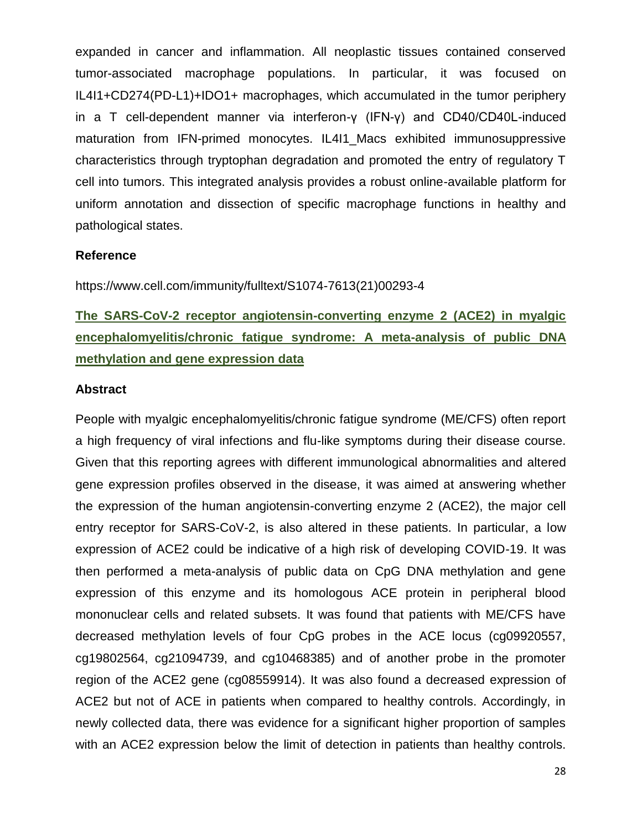expanded in cancer and inflammation. All neoplastic tissues contained conserved tumor-associated macrophage populations. In particular, it was focused on IL4I1+CD274(PD-L1)+IDO1+ macrophages, which accumulated in the tumor periphery in a T cell-dependent manner via interferon-γ (IFN-γ) and CD40/CD40L-induced maturation from IFN-primed monocytes. IL411 Macs exhibited immunosuppressive characteristics through tryptophan degradation and promoted the entry of regulatory T cell into tumors. This integrated analysis provides a robust online-available platform for uniform annotation and dissection of specific macrophage functions in healthy and pathological states.

#### **Reference**

https://www.cell.com/immunity/fulltext/S1074-7613(21)00293-4

# **The SARS-CoV-2 receptor angiotensin-converting enzyme 2 (ACE2) in myalgic encephalomyelitis/chronic fatigue syndrome: A meta-analysis of public DNA methylation and gene expression data**

#### **Abstract**

People with myalgic encephalomyelitis/chronic fatigue syndrome (ME/CFS) often report a high frequency of viral infections and flu-like symptoms during their disease course. Given that this reporting agrees with different immunological abnormalities and altered gene expression profiles observed in the disease, it was aimed at answering whether the expression of the human angiotensin-converting enzyme 2 (ACE2), the major cell entry receptor for SARS-CoV-2, is also altered in these patients. In particular, a low expression of ACE2 could be indicative of a high risk of developing COVID-19. It was then performed a meta-analysis of public data on CpG DNA methylation and gene expression of this enzyme and its homologous ACE protein in peripheral blood mononuclear cells and related subsets. It was found that patients with ME/CFS have decreased methylation levels of four CpG probes in the ACE locus (cg09920557, cg19802564, cg21094739, and cg10468385) and of another probe in the promoter region of the ACE2 gene (cg08559914). It was also found a decreased expression of ACE2 but not of ACE in patients when compared to healthy controls. Accordingly, in newly collected data, there was evidence for a significant higher proportion of samples with an ACE2 expression below the limit of detection in patients than healthy controls.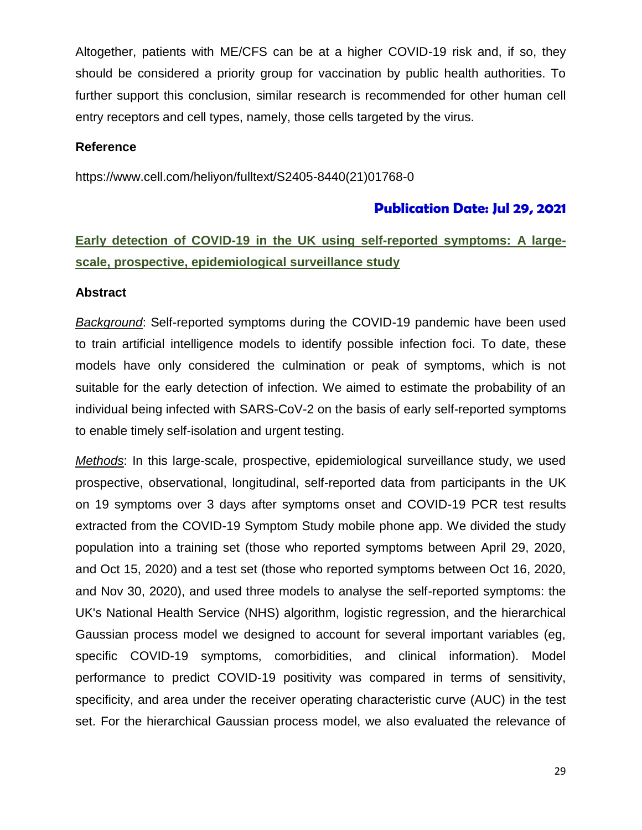Altogether, patients with ME/CFS can be at a higher COVID-19 risk and, if so, they should be considered a priority group for vaccination by public health authorities. To further support this conclusion, similar research is recommended for other human cell entry receptors and cell types, namely, those cells targeted by the virus.

#### **Reference**

https://www.cell.com/heliyon/fulltext/S2405-8440(21)01768-0

### **Publication Date: Jul 29, 2021**

## **Early detection of COVID-19 in the UK using self-reported symptoms: A largescale, prospective, epidemiological surveillance study**

#### **Abstract**

*Background*: Self-reported symptoms during the COVID-19 pandemic have been used to train artificial intelligence models to identify possible infection foci. To date, these models have only considered the culmination or peak of symptoms, which is not suitable for the early detection of infection. We aimed to estimate the probability of an individual being infected with SARS-CoV-2 on the basis of early self-reported symptoms to enable timely self-isolation and urgent testing.

*Methods*: In this large-scale, prospective, epidemiological surveillance study, we used prospective, observational, longitudinal, self-reported data from participants in the UK on 19 symptoms over 3 days after symptoms onset and COVID-19 PCR test results extracted from the COVID-19 Symptom Study mobile phone app. We divided the study population into a training set (those who reported symptoms between April 29, 2020, and Oct 15, 2020) and a test set (those who reported symptoms between Oct 16, 2020, and Nov 30, 2020), and used three models to analyse the self-reported symptoms: the UK's National Health Service (NHS) algorithm, logistic regression, and the hierarchical Gaussian process model we designed to account for several important variables (eg, specific COVID-19 symptoms, comorbidities, and clinical information). Model performance to predict COVID-19 positivity was compared in terms of sensitivity, specificity, and area under the receiver operating characteristic curve (AUC) in the test set. For the hierarchical Gaussian process model, we also evaluated the relevance of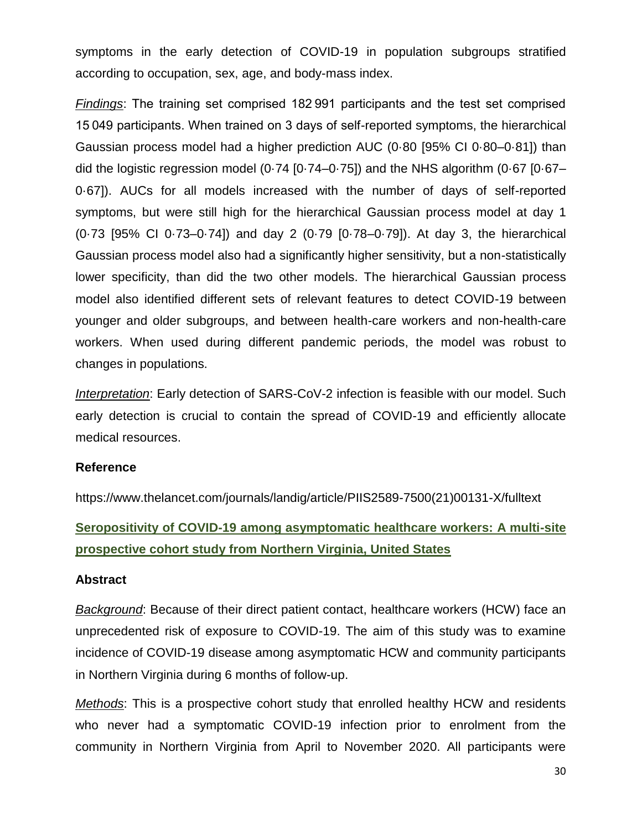symptoms in the early detection of COVID-19 in population subgroups stratified according to occupation, sex, age, and body-mass index.

*Findings*: The training set comprised 182 991 participants and the test set comprised 15 049 participants. When trained on 3 days of self-reported symptoms, the hierarchical Gaussian process model had a higher prediction AUC (0·80 [95% CI 0·80–0·81]) than did the logistic regression model  $(0.74 \, [0.74-0.75])$  and the NHS algorithm  $(0.67 \, [0.67-0.75])$ 0·67]). AUCs for all models increased with the number of days of self-reported symptoms, but were still high for the hierarchical Gaussian process model at day 1 (0·73 [95% CI 0·73–0·74]) and day 2 (0·79 [0·78–0·79]). At day 3, the hierarchical Gaussian process model also had a significantly higher sensitivity, but a non-statistically lower specificity, than did the two other models. The hierarchical Gaussian process model also identified different sets of relevant features to detect COVID-19 between younger and older subgroups, and between health-care workers and non-health-care workers. When used during different pandemic periods, the model was robust to changes in populations.

*Interpretation*: Early detection of SARS-CoV-2 infection is feasible with our model. Such early detection is crucial to contain the spread of COVID-19 and efficiently allocate medical resources.

#### **Reference**

https://www.thelancet.com/journals/landig/article/PIIS2589-7500(21)00131-X/fulltext

# **Seropositivity of COVID-19 among asymptomatic healthcare workers: A multi-site prospective cohort study from Northern Virginia, United States**

#### **Abstract**

*Background*: Because of their direct patient contact, healthcare workers (HCW) face an unprecedented risk of exposure to COVID-19. The aim of this study was to examine incidence of COVID-19 disease among asymptomatic HCW and community participants in Northern Virginia during 6 months of follow-up.

*Methods*: This is a prospective cohort study that enrolled healthy HCW and residents who never had a symptomatic COVID-19 infection prior to enrolment from the community in Northern Virginia from April to November 2020. All participants were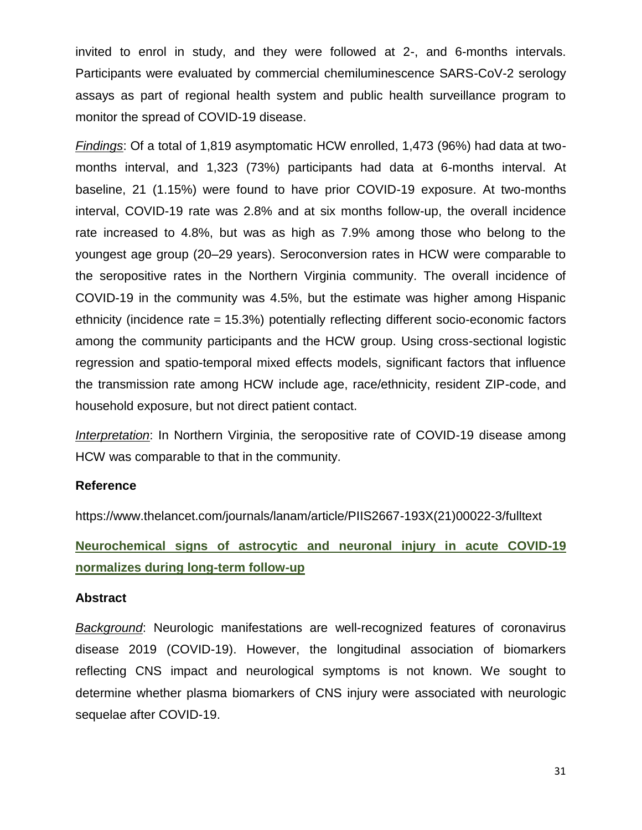invited to enrol in study, and they were followed at 2-, and 6-months intervals. Participants were evaluated by commercial chemiluminescence SARS-CoV-2 serology assays as part of regional health system and public health surveillance program to monitor the spread of COVID-19 disease.

*Findings*: Of a total of 1,819 asymptomatic HCW enrolled, 1,473 (96%) had data at twomonths interval, and 1,323 (73%) participants had data at 6-months interval. At baseline, 21 (1.15%) were found to have prior COVID-19 exposure. At two-months interval, COVID-19 rate was 2.8% and at six months follow-up, the overall incidence rate increased to 4.8%, but was as high as 7.9% among those who belong to the youngest age group (20–29 years). Seroconversion rates in HCW were comparable to the seropositive rates in the Northern Virginia community. The overall incidence of COVID-19 in the community was 4.5%, but the estimate was higher among Hispanic ethnicity (incidence rate = 15.3%) potentially reflecting different socio-economic factors among the community participants and the HCW group. Using cross-sectional logistic regression and spatio-temporal mixed effects models, significant factors that influence the transmission rate among HCW include age, race/ethnicity, resident ZIP-code, and household exposure, but not direct patient contact.

*Interpretation*: In Northern Virginia, the seropositive rate of COVID-19 disease among HCW was comparable to that in the community.

#### **Reference**

https://www.thelancet.com/journals/lanam/article/PIIS2667-193X(21)00022-3/fulltext

**Neurochemical signs of astrocytic and neuronal injury in acute COVID-19 normalizes during long-term follow-up**

#### **Abstract**

*Background*: Neurologic manifestations are well-recognized features of coronavirus disease 2019 (COVID-19). However, the longitudinal association of biomarkers reflecting CNS impact and neurological symptoms is not known. We sought to determine whether plasma biomarkers of CNS injury were associated with neurologic sequelae after COVID-19.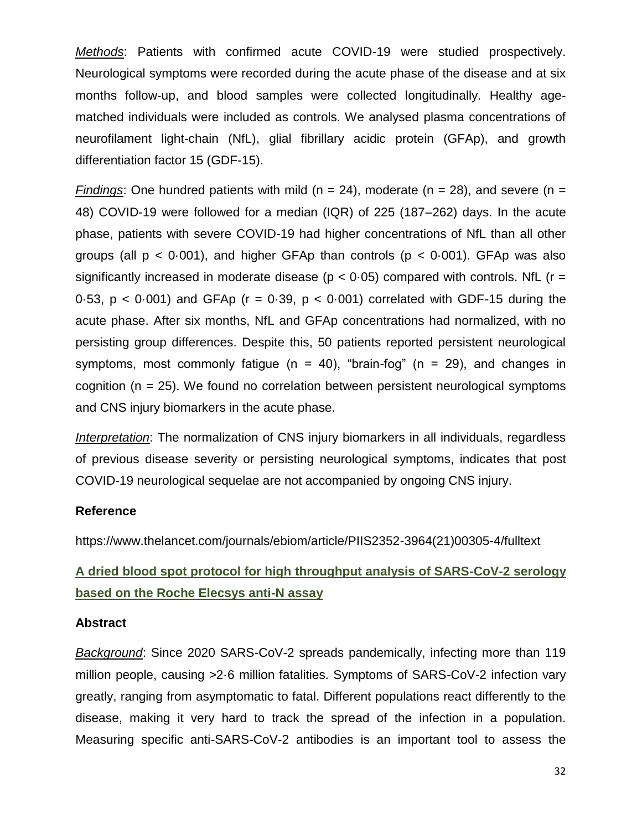*Methods*: Patients with confirmed acute COVID-19 were studied prospectively. Neurological symptoms were recorded during the acute phase of the disease and at six months follow-up, and blood samples were collected longitudinally. Healthy agematched individuals were included as controls. We analysed plasma concentrations of neurofilament light-chain (NfL), glial fibrillary acidic protein (GFAp), and growth differentiation factor 15 (GDF-15).

*Findings*: One hundred patients with mild ( $n = 24$ ), moderate ( $n = 28$ ), and severe ( $n =$ 48) COVID-19 were followed for a median (IQR) of 225 (187–262) days. In the acute phase, patients with severe COVID-19 had higher concentrations of NfL than all other groups (all  $p < 0.001$ ), and higher GFAp than controls ( $p < 0.001$ ). GFAp was also significantly increased in moderate disease ( $p < 0.05$ ) compared with controls. NfL ( $r =$ 0.53,  $p < 0.001$ ) and GFAp ( $r = 0.39$ ,  $p < 0.001$ ) correlated with GDF-15 during the acute phase. After six months, NfL and GFAp concentrations had normalized, with no persisting group differences. Despite this, 50 patients reported persistent neurological symptoms, most commonly fatigue ( $n = 40$ ), "brain-fog" ( $n = 29$ ), and changes in cognition (n = 25). We found no correlation between persistent neurological symptoms and CNS injury biomarkers in the acute phase.

*Interpretation*: The normalization of CNS injury biomarkers in all individuals, regardless of previous disease severity or persisting neurological symptoms, indicates that post COVID-19 neurological sequelae are not accompanied by ongoing CNS injury.

#### **Reference**

https://www.thelancet.com/journals/ebiom/article/PIIS2352-3964(21)00305-4/fulltext

**A dried blood spot protocol for high throughput analysis of SARS-CoV-2 serology based on the Roche Elecsys anti-N assay**

#### **Abstract**

*Background*: Since 2020 SARS-CoV-2 spreads pandemically, infecting more than 119 million people, causing >2·6 million fatalities. Symptoms of SARS-CoV-2 infection vary greatly, ranging from asymptomatic to fatal. Different populations react differently to the disease, making it very hard to track the spread of the infection in a population. Measuring specific anti-SARS-CoV-2 antibodies is an important tool to assess the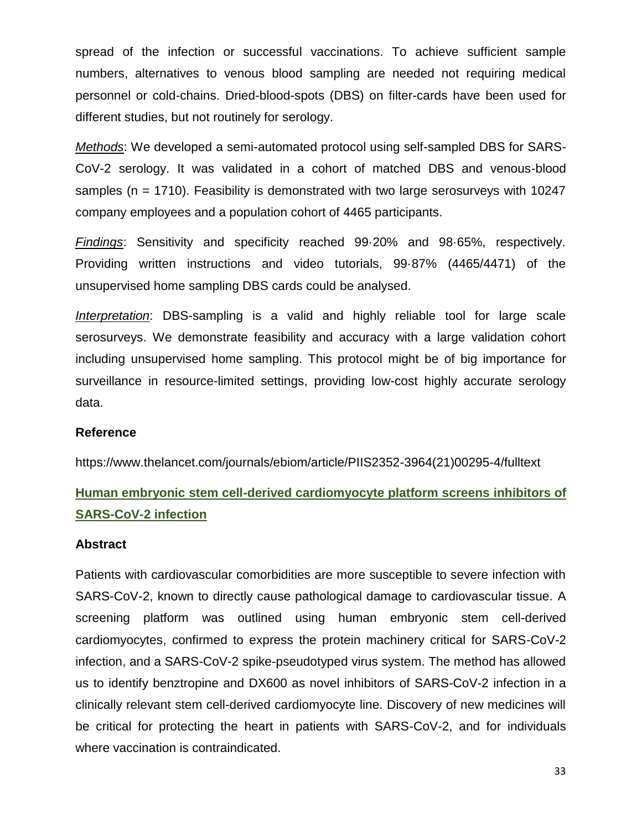spread of the infection or successful vaccinations. To achieve sufficient sample numbers, alternatives to venous blood sampling are needed not requiring medical personnel or cold-chains. Dried-blood-spots (DBS) on filter-cards have been used for different studies, but not routinely for serology.

*Methods*: We developed a semi-automated protocol using self-sampled DBS for SARS-CoV-2 serology. It was validated in a cohort of matched DBS and venous-blood samples ( $n = 1710$ ). Feasibility is demonstrated with two large serosurveys with 10247 company employees and a population cohort of 4465 participants.

*Findings*: Sensitivity and specificity reached 99·20% and 98·65%, respectively. Providing written instructions and video tutorials, 99·87% (4465/4471) of the unsupervised home sampling DBS cards could be analysed.

*Interpretation*: DBS-sampling is a valid and highly reliable tool for large scale serosurveys. We demonstrate feasibility and accuracy with a large validation cohort including unsupervised home sampling. This protocol might be of big importance for surveillance in resource-limited settings, providing low-cost highly accurate serology data.

#### **Reference**

https://www.thelancet.com/journals/ebiom/article/PIIS2352-3964(21)00295-4/fulltext

# **Human embryonic stem cell-derived cardiomyocyte platform screens inhibitors of SARS-CoV-2 infection**

#### **Abstract**

Patients with cardiovascular comorbidities are more susceptible to severe infection with SARS-CoV-2, known to directly cause pathological damage to cardiovascular tissue. A screening platform was outlined using human embryonic stem cell-derived cardiomyocytes, confirmed to express the protein machinery critical for SARS-CoV-2 infection, and a SARS-CoV-2 spike-pseudotyped virus system. The method has allowed us to identify benztropine and DX600 as novel inhibitors of SARS-CoV-2 infection in a clinically relevant stem cell-derived cardiomyocyte line. Discovery of new medicines will be critical for protecting the heart in patients with SARS-CoV-2, and for individuals where vaccination is contraindicated.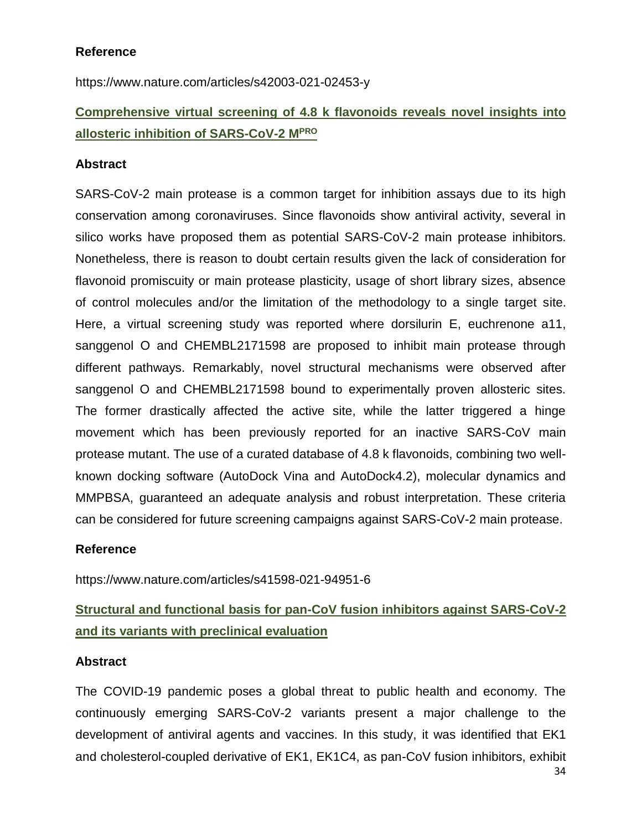### **Reference**

https://www.nature.com/articles/s42003-021-02453-y

# **Comprehensive virtual screening of 4.8 k flavonoids reveals novel insights into allosteric inhibition of SARS-CoV-2 MPRO**

#### **Abstract**

SARS-CoV-2 main protease is a common target for inhibition assays due to its high conservation among coronaviruses. Since flavonoids show antiviral activity, several in silico works have proposed them as potential SARS-CoV-2 main protease inhibitors. Nonetheless, there is reason to doubt certain results given the lack of consideration for flavonoid promiscuity or main protease plasticity, usage of short library sizes, absence of control molecules and/or the limitation of the methodology to a single target site. Here, a virtual screening study was reported where dorsilurin E, euchrenone a11, sanggenol O and CHEMBL2171598 are proposed to inhibit main protease through different pathways. Remarkably, novel structural mechanisms were observed after sanggenol O and CHEMBL2171598 bound to experimentally proven allosteric sites. The former drastically affected the active site, while the latter triggered a hinge movement which has been previously reported for an inactive SARS-CoV main protease mutant. The use of a curated database of 4.8 k flavonoids, combining two wellknown docking software (AutoDock Vina and AutoDock4.2), molecular dynamics and MMPBSA, guaranteed an adequate analysis and robust interpretation. These criteria can be considered for future screening campaigns against SARS-CoV-2 main protease.

#### **Reference**

https://www.nature.com/articles/s41598-021-94951-6

# **Structural and functional basis for pan-CoV fusion inhibitors against SARS-CoV-2 and its variants with preclinical evaluation**

#### **Abstract**

The COVID-19 pandemic poses a global threat to public health and economy. The continuously emerging SARS-CoV-2 variants present a major challenge to the development of antiviral agents and vaccines. In this study, it was identified that EK1 and cholesterol-coupled derivative of EK1, EK1C4, as pan-CoV fusion inhibitors, exhibit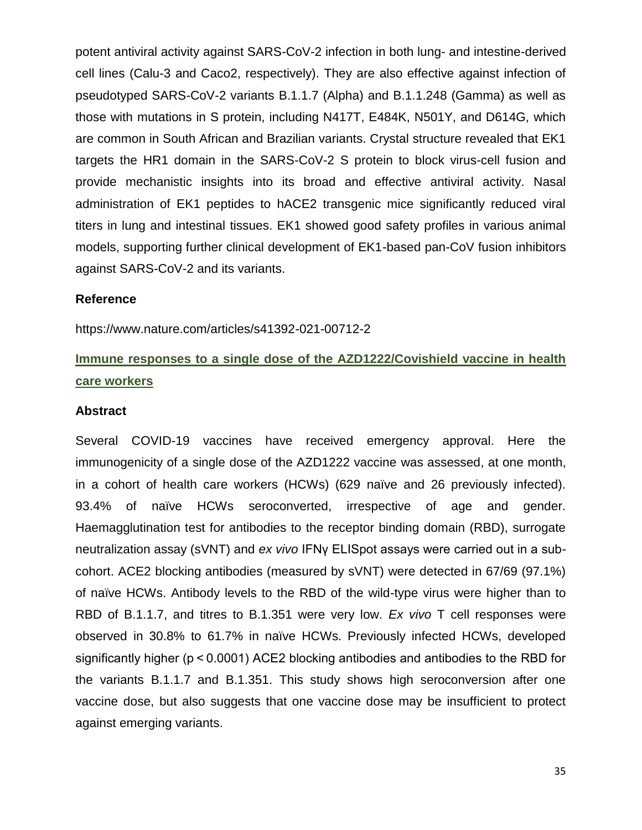potent antiviral activity against SARS-CoV-2 infection in both lung- and intestine-derived cell lines (Calu-3 and Caco2, respectively). They are also effective against infection of pseudotyped SARS-CoV-2 variants B.1.1.7 (Alpha) and B.1.1.248 (Gamma) as well as those with mutations in S protein, including N417T, E484K, N501Y, and D614G, which are common in South African and Brazilian variants. Crystal structure revealed that EK1 targets the HR1 domain in the SARS-CoV-2 S protein to block virus-cell fusion and provide mechanistic insights into its broad and effective antiviral activity. Nasal administration of EK1 peptides to hACE2 transgenic mice significantly reduced viral titers in lung and intestinal tissues. EK1 showed good safety profiles in various animal models, supporting further clinical development of EK1-based pan-CoV fusion inhibitors against SARS-CoV-2 and its variants.

#### **Reference**

https://www.nature.com/articles/s41392-021-00712-2

# **Immune responses to a single dose of the AZD1222/Covishield vaccine in health care workers**

#### **Abstract**

Several COVID-19 vaccines have received emergency approval. Here the immunogenicity of a single dose of the AZD1222 vaccine was assessed, at one month, in a cohort of health care workers (HCWs) (629 naïve and 26 previously infected). 93.4% of naïve HCWs seroconverted, irrespective of age and gender. Haemagglutination test for antibodies to the receptor binding domain (RBD), surrogate neutralization assay (sVNT) and *ex vivo* IFNγ ELISpot assays were carried out in a subcohort. ACE2 blocking antibodies (measured by sVNT) were detected in 67/69 (97.1%) of naïve HCWs. Antibody levels to the RBD of the wild-type virus were higher than to RBD of B.1.1.7, and titres to B.1.351 were very low. *Ex vivo* T cell responses were observed in 30.8% to 61.7% in naïve HCWs. Previously infected HCWs, developed significantly higher (p < 0.0001) ACE2 blocking antibodies and antibodies to the RBD for the variants B.1.1.7 and B.1.351. This study shows high seroconversion after one vaccine dose, but also suggests that one vaccine dose may be insufficient to protect against emerging variants.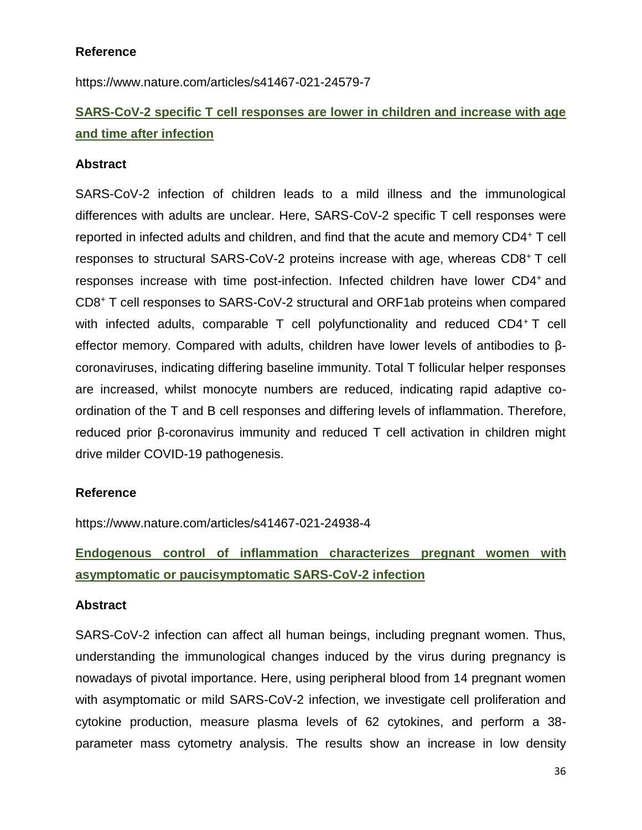### **Reference**

https://www.nature.com/articles/s41467-021-24579-7

# **SARS-CoV-2 specific T cell responses are lower in children and increase with age and time after infection**

#### **Abstract**

SARS-CoV-2 infection of children leads to a mild illness and the immunological differences with adults are unclear. Here, SARS-CoV-2 specific T cell responses were reported in infected adults and children, and find that the acute and memory CD4<sup>+</sup> T cell responses to structural SARS-CoV-2 proteins increase with age, whereas CD8<sup>+</sup> T cell responses increase with time post-infection. Infected children have lower CD4<sup>+</sup> and CD8<sup>+</sup> T cell responses to SARS-CoV-2 structural and ORF1ab proteins when compared with infected adults, comparable T cell polyfunctionality and reduced CD4<sup>+</sup> T cell effector memory. Compared with adults, children have lower levels of antibodies to βcoronaviruses, indicating differing baseline immunity. Total T follicular helper responses are increased, whilst monocyte numbers are reduced, indicating rapid adaptive coordination of the T and B cell responses and differing levels of inflammation. Therefore, reduced prior β-coronavirus immunity and reduced T cell activation in children might drive milder COVID-19 pathogenesis.

#### **Reference**

https://www.nature.com/articles/s41467-021-24938-4

**Endogenous control of inflammation characterizes pregnant women with asymptomatic or paucisymptomatic SARS-CoV-2 infection**

#### **Abstract**

SARS-CoV-2 infection can affect all human beings, including pregnant women. Thus, understanding the immunological changes induced by the virus during pregnancy is nowadays of pivotal importance. Here, using peripheral blood from 14 pregnant women with asymptomatic or mild SARS-CoV-2 infection, we investigate cell proliferation and cytokine production, measure plasma levels of 62 cytokines, and perform a 38 parameter mass cytometry analysis. The results show an increase in low density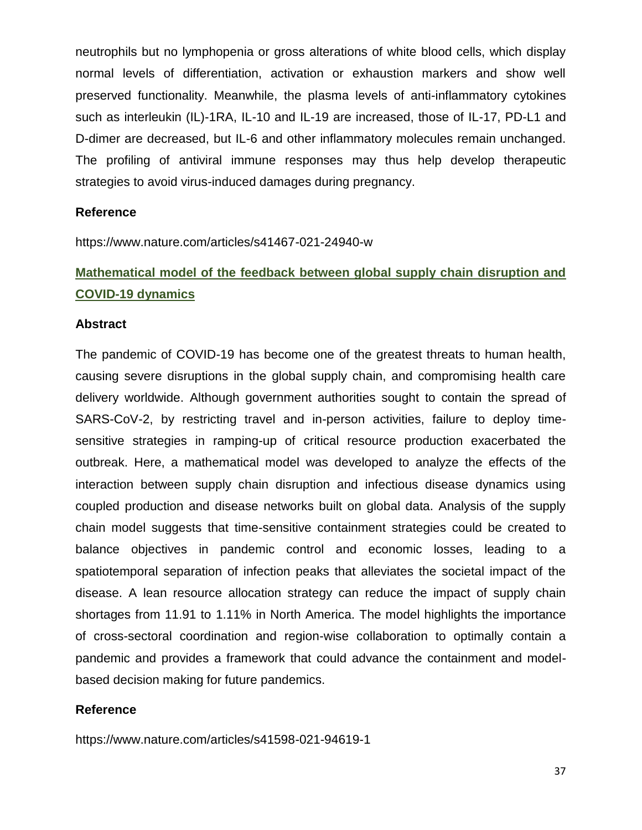neutrophils but no lymphopenia or gross alterations of white blood cells, which display normal levels of differentiation, activation or exhaustion markers and show well preserved functionality. Meanwhile, the plasma levels of anti-inflammatory cytokines such as interleukin (IL)-1RA, IL-10 and IL-19 are increased, those of IL-17, PD-L1 and D-dimer are decreased, but IL-6 and other inflammatory molecules remain unchanged. The profiling of antiviral immune responses may thus help develop therapeutic strategies to avoid virus-induced damages during pregnancy.

#### **Reference**

https://www.nature.com/articles/s41467-021-24940-w

# **Mathematical model of the feedback between global supply chain disruption and COVID-19 dynamics**

#### **Abstract**

The pandemic of COVID-19 has become one of the greatest threats to human health, causing severe disruptions in the global supply chain, and compromising health care delivery worldwide. Although government authorities sought to contain the spread of SARS-CoV-2, by restricting travel and in-person activities, failure to deploy timesensitive strategies in ramping-up of critical resource production exacerbated the outbreak. Here, a mathematical model was developed to analyze the effects of the interaction between supply chain disruption and infectious disease dynamics using coupled production and disease networks built on global data. Analysis of the supply chain model suggests that time-sensitive containment strategies could be created to balance objectives in pandemic control and economic losses, leading to a spatiotemporal separation of infection peaks that alleviates the societal impact of the disease. A lean resource allocation strategy can reduce the impact of supply chain shortages from 11.91 to 1.11% in North America. The model highlights the importance of cross-sectoral coordination and region-wise collaboration to optimally contain a pandemic and provides a framework that could advance the containment and modelbased decision making for future pandemics.

#### **Reference**

https://www.nature.com/articles/s41598-021-94619-1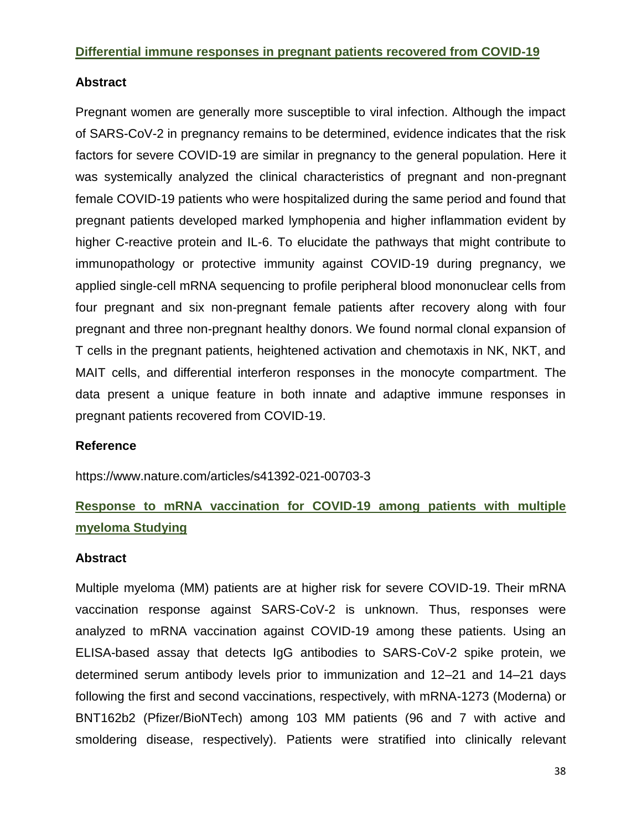#### **Differential immune responses in pregnant patients recovered from COVID-19**

#### **Abstract**

Pregnant women are generally more susceptible to viral infection. Although the impact of SARS-CoV-2 in pregnancy remains to be determined, evidence indicates that the risk factors for severe COVID-19 are similar in pregnancy to the general population. Here it was systemically analyzed the clinical characteristics of pregnant and non-pregnant female COVID-19 patients who were hospitalized during the same period and found that pregnant patients developed marked lymphopenia and higher inflammation evident by higher C-reactive protein and IL-6. To elucidate the pathways that might contribute to immunopathology or protective immunity against COVID-19 during pregnancy, we applied single-cell mRNA sequencing to profile peripheral blood mononuclear cells from four pregnant and six non-pregnant female patients after recovery along with four pregnant and three non-pregnant healthy donors. We found normal clonal expansion of T cells in the pregnant patients, heightened activation and chemotaxis in NK, NKT, and MAIT cells, and differential interferon responses in the monocyte compartment. The data present a unique feature in both innate and adaptive immune responses in pregnant patients recovered from COVID-19.

#### **Reference**

https://www.nature.com/articles/s41392-021-00703-3

# **Response to mRNA vaccination for COVID-19 among patients with multiple myeloma Studying**

#### **Abstract**

Multiple myeloma (MM) patients are at higher risk for severe COVID-19. Their mRNA vaccination response against SARS-CoV-2 is unknown. Thus, responses were analyzed to mRNA vaccination against COVID-19 among these patients. Using an ELISA-based assay that detects IgG antibodies to SARS-CoV-2 spike protein, we determined serum antibody levels prior to immunization and 12–21 and 14–21 days following the first and second vaccinations, respectively, with mRNA-1273 (Moderna) or BNT162b2 (Pfizer/BioNTech) among 103 MM patients (96 and 7 with active and smoldering disease, respectively). Patients were stratified into clinically relevant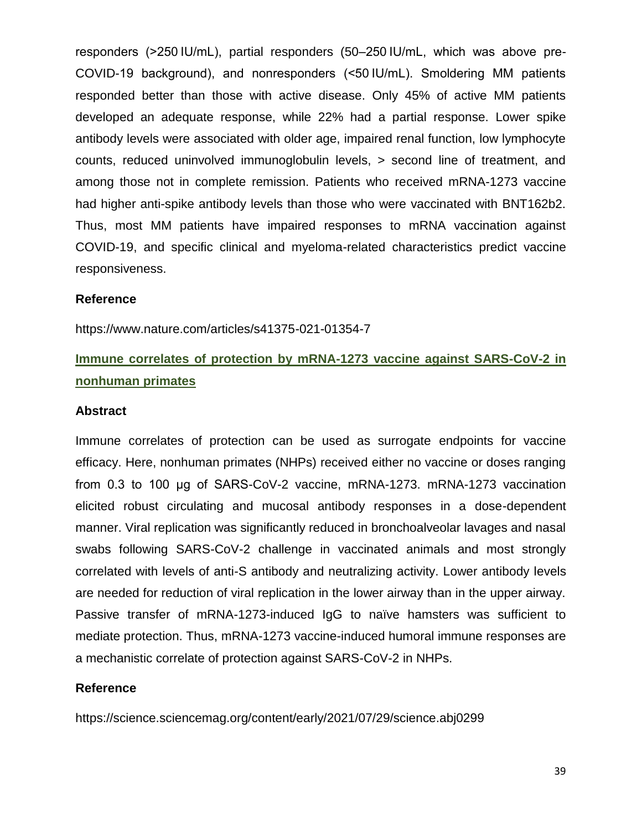responders (>250 IU/mL), partial responders (50–250 IU/mL, which was above pre-COVID-19 background), and nonresponders (<50 IU/mL). Smoldering MM patients responded better than those with active disease. Only 45% of active MM patients developed an adequate response, while 22% had a partial response. Lower spike antibody levels were associated with older age, impaired renal function, low lymphocyte counts, reduced uninvolved immunoglobulin levels, > second line of treatment, and among those not in complete remission. Patients who received mRNA-1273 vaccine had higher anti-spike antibody levels than those who were vaccinated with BNT162b2. Thus, most MM patients have impaired responses to mRNA vaccination against COVID-19, and specific clinical and myeloma-related characteristics predict vaccine responsiveness.

#### **Reference**

https://www.nature.com/articles/s41375-021-01354-7

### **Immune correlates of protection by mRNA-1273 vaccine against SARS-CoV-2 in nonhuman primates**

#### **Abstract**

Immune correlates of protection can be used as surrogate endpoints for vaccine efficacy. Here, nonhuman primates (NHPs) received either no vaccine or doses ranging from 0.3 to 100 μg of SARS-CoV-2 vaccine, mRNA-1273. mRNA-1273 vaccination elicited robust circulating and mucosal antibody responses in a dose-dependent manner. Viral replication was significantly reduced in bronchoalveolar lavages and nasal swabs following SARS-CoV-2 challenge in vaccinated animals and most strongly correlated with levels of anti-S antibody and neutralizing activity. Lower antibody levels are needed for reduction of viral replication in the lower airway than in the upper airway. Passive transfer of mRNA-1273-induced IgG to naïve hamsters was sufficient to mediate protection. Thus, mRNA-1273 vaccine-induced humoral immune responses are a mechanistic correlate of protection against SARS-CoV-2 in NHPs.

#### **Reference**

https://science.sciencemag.org/content/early/2021/07/29/science.abj0299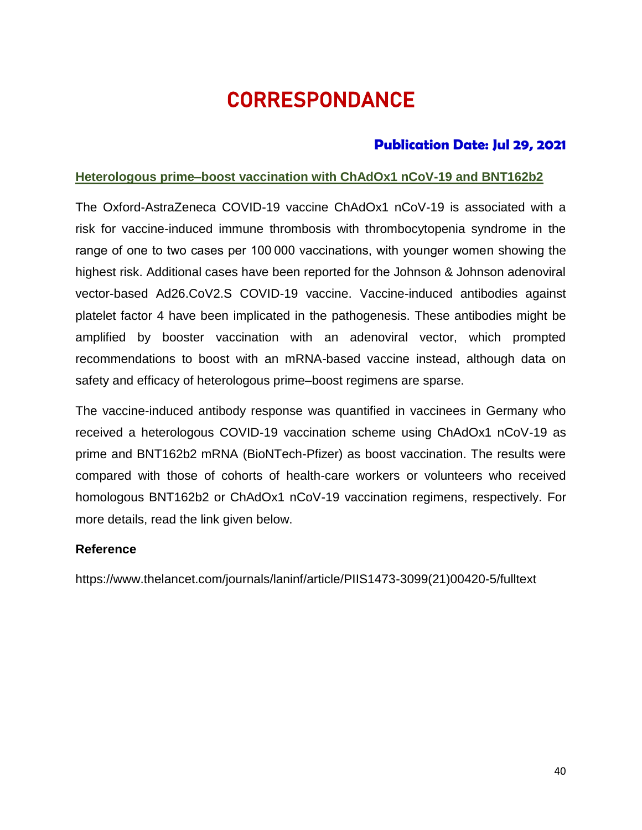# CORRESPONDANCE

### **Publication Date: Jul 29, 2021**

### **Heterologous prime–boost vaccination with ChAdOx1 nCoV-19 and BNT162b2**

The Oxford-AstraZeneca COVID-19 vaccine ChAdOx1 nCoV-19 is associated with a risk for vaccine-induced immune thrombosis with thrombocytopenia syndrome in the range of one to two cases per 100 000 vaccinations, with younger women showing the highest risk. Additional cases have been reported for the Johnson & Johnson adenoviral vector-based Ad26.CoV2.S COVID-19 vaccine. Vaccine-induced antibodies against platelet factor 4 have been implicated in the pathogenesis. These antibodies might be amplified by booster vaccination with an adenoviral vector, which prompted recommendations to boost with an mRNA-based vaccine instead, although data on safety and efficacy of heterologous prime–boost regimens are sparse.

The vaccine-induced antibody response was quantified in vaccinees in Germany who received a heterologous COVID-19 vaccination scheme using ChAdOx1 nCoV-19 as prime and BNT162b2 mRNA (BioNTech-Pfizer) as boost vaccination. The results were compared with those of cohorts of health-care workers or volunteers who received homologous BNT162b2 or ChAdOx1 nCoV-19 vaccination regimens, respectively. For more details, read the link given below.

#### **Reference**

https://www.thelancet.com/journals/laninf/article/PIIS1473-3099(21)00420-5/fulltext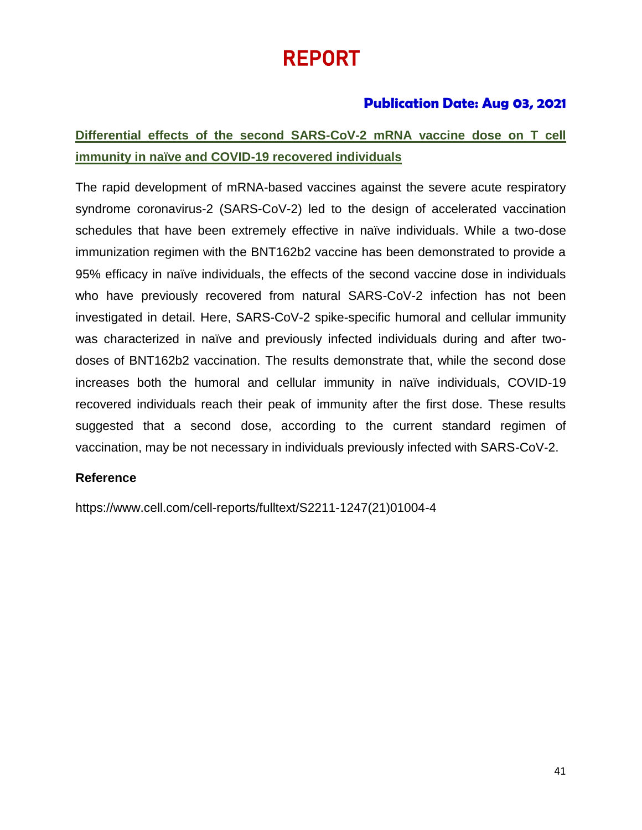# REPORT

### **Publication Date: Aug 03, 2021**

# **Differential effects of the second SARS-CoV-2 mRNA vaccine dose on T cell immunity in naïve and COVID-19 recovered individuals**

The rapid development of mRNA-based vaccines against the severe acute respiratory syndrome coronavirus-2 (SARS-CoV-2) led to the design of accelerated vaccination schedules that have been extremely effective in naïve individuals. While a two-dose immunization regimen with the BNT162b2 vaccine has been demonstrated to provide a 95% efficacy in naïve individuals, the effects of the second vaccine dose in individuals who have previously recovered from natural SARS-CoV-2 infection has not been investigated in detail. Here, SARS-CoV-2 spike-specific humoral and cellular immunity was characterized in naïve and previously infected individuals during and after twodoses of BNT162b2 vaccination. The results demonstrate that, while the second dose increases both the humoral and cellular immunity in naïve individuals, COVID-19 recovered individuals reach their peak of immunity after the first dose. These results suggested that a second dose, according to the current standard regimen of vaccination, may be not necessary in individuals previously infected with SARS-CoV-2.

### **Reference**

https://www.cell.com/cell-reports/fulltext/S2211-1247(21)01004-4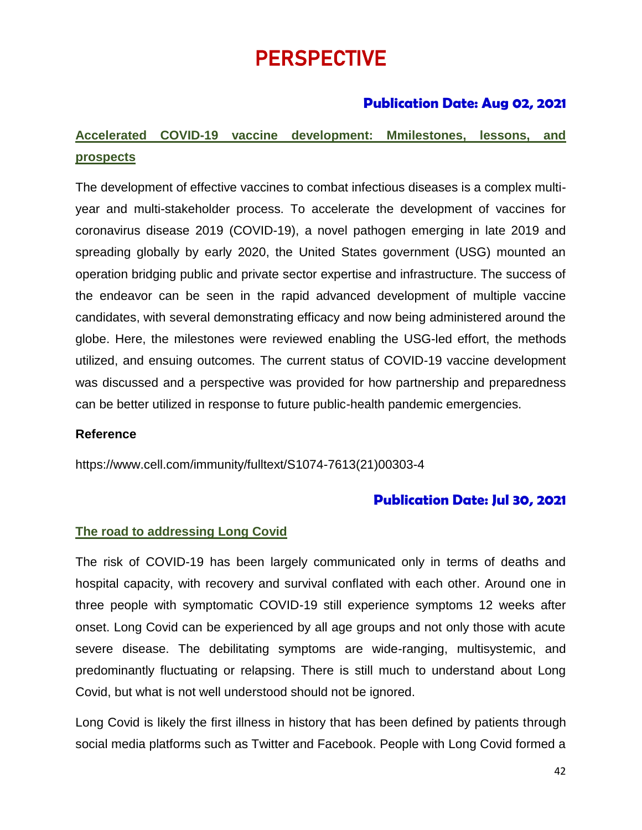# PERSPECTIVE

### **Publication Date: Aug 02, 2021**

# **Accelerated COVID-19 vaccine development: Mmilestones, lessons, and prospects**

The development of effective vaccines to combat infectious diseases is a complex multiyear and multi-stakeholder process. To accelerate the development of vaccines for coronavirus disease 2019 (COVID-19), a novel pathogen emerging in late 2019 and spreading globally by early 2020, the United States government (USG) mounted an operation bridging public and private sector expertise and infrastructure. The success of the endeavor can be seen in the rapid advanced development of multiple vaccine candidates, with several demonstrating efficacy and now being administered around the globe. Here, the milestones were reviewed enabling the USG-led effort, the methods utilized, and ensuing outcomes. The current status of COVID-19 vaccine development was discussed and a perspective was provided for how partnership and preparedness can be better utilized in response to future public-health pandemic emergencies.

#### **Reference**

https://www.cell.com/immunity/fulltext/S1074-7613(21)00303-4

### **Publication Date: Jul 30, 2021**

#### **The road to addressing Long Covid**

The risk of COVID-19 has been largely communicated only in terms of deaths and hospital capacity, with recovery and survival conflated with each other. Around one in three people with symptomatic COVID-19 still experience symptoms 12 weeks after onset. Long Covid can be experienced by all age groups and not only those with acute severe disease. The debilitating symptoms are wide-ranging, multisystemic, and predominantly fluctuating or relapsing. There is still much to understand about Long Covid, but what is not well understood should not be ignored.

Long Covid is likely the first illness in history that has been defined by patients through social media platforms such as Twitter and Facebook. People with Long Covid formed a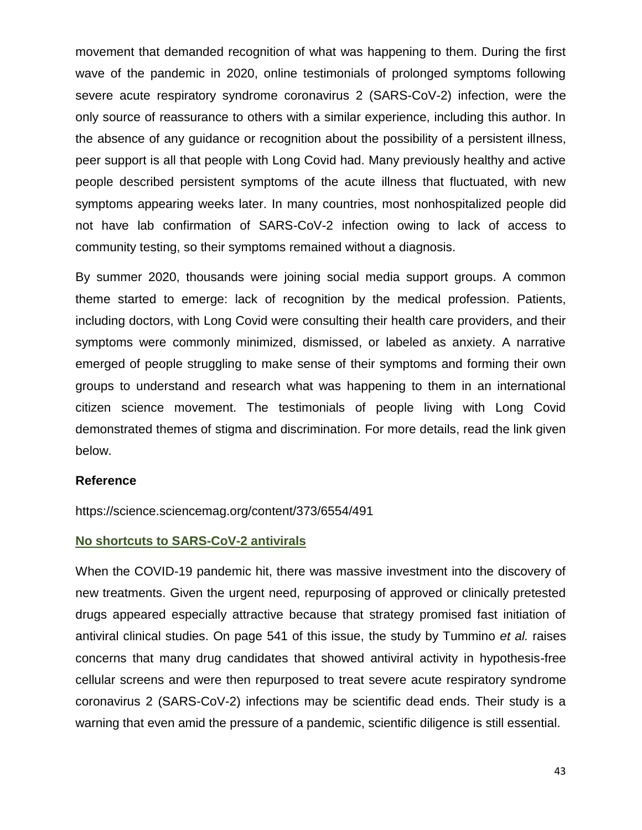movement that demanded recognition of what was happening to them. During the first wave of the pandemic in 2020, online testimonials of prolonged symptoms following severe acute respiratory syndrome coronavirus 2 (SARS-CoV-2) infection, were the only source of reassurance to others with a similar experience, including this author. In the absence of any guidance or recognition about the possibility of a persistent illness, peer support is all that people with Long Covid had. Many previously healthy and active people described persistent symptoms of the acute illness that fluctuated, with new symptoms appearing weeks later. In many countries, most nonhospitalized people did not have lab confirmation of SARS-CoV-2 infection owing to lack of access to community testing, so their symptoms remained without a diagnosis.

By summer 2020, thousands were joining social media support groups. A common theme started to emerge: lack of recognition by the medical profession. Patients, including doctors, with Long Covid were consulting their health care providers, and their symptoms were commonly minimized, dismissed, or labeled as anxiety. A narrative emerged of people struggling to make sense of their symptoms and forming their own groups to understand and research what was happening to them in an international citizen science movement. The testimonials of people living with Long Covid demonstrated themes of stigma and discrimination. For more details, read the link given below.

#### **Reference**

https://science.sciencemag.org/content/373/6554/491

#### **No shortcuts to SARS-CoV-2 antivirals**

When the COVID-19 pandemic hit, there was massive investment into the discovery of new treatments. Given the urgent need, repurposing of approved or clinically pretested drugs appeared especially attractive because that strategy promised fast initiation of antiviral clinical studies. On page 541 of this issue, the study by Tummino *et al.* raises concerns that many drug candidates that showed antiviral activity in hypothesis-free cellular screens and were then repurposed to treat severe acute respiratory syndrome coronavirus 2 (SARS-CoV-2) infections may be scientific dead ends. Their study is a warning that even amid the pressure of a pandemic, scientific diligence is still essential.